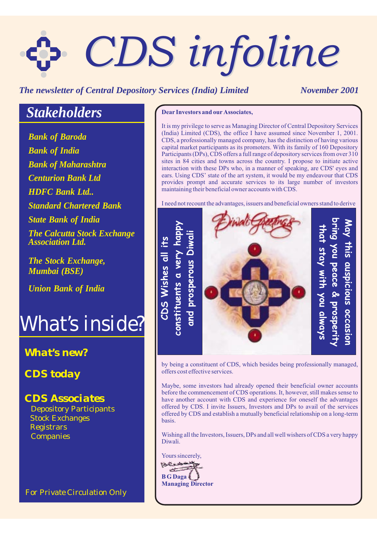# *CDS infoline CDS infoline*

#### *The newsletter of Central Depository Services (India) Limited November 2001*

## *Stakeholders*

*Bank of Baroda Bank of Maharashtra Centurion Bank Ltd HDFC Bank Ltd.. Standard Chartered Bank Bank of India State Bank of India The Calcutta Stock Exchange Association Ltd.*

*The Stock Exchange, Mumbai (BSE)*

*Union Bank of India*

## *What's inside?*

#### *What's new?*

*CDS today*

#### *CDS Associates*

Stock Exchanges Depository Participants **Registrars** Companies

*For Private Circulation Only*

#### **Dear Investors and our Associates,**

It is my privilege to serve as Managing Director of Central Depository Services (India) Limited (CDS), the office I have assumed since November 1, 2001. CDS, a professionally managed company, has the distinction of having various capital market participants as its promoters. With its family of 160 Depository Participants (DPs), CDS offers a full range of depository services from over 310 sites in 84 cities and towns across the country. I propose to initiate active interaction with these DPs who, in a manner of speaking, are CDS' eyes and ears. Using CDS' state of the art system, it would be my endeavour that CDS provides prompt and accurate services to its large number of investors maintaining their beneficial owner accounts with CDS.

I need not recount the advantages, issuers and beneficial owners stand to derive



by being a constituent of CDS, which besides being professionally managed, offers cost effective services.

Maybe, some investors had already opened their beneficial owner accounts before the commencement of CDS operations. It, however, still makes sense to have another account with CDS and experience for oneself the advantages offered by CDS. I invite Issuers, Investors and DPs to avail of the services offered by CDS and establish a mutually beneficial relationship on a long-term basis.

Wishing all the Investors, Issuers, DPs and all well wishers of CDS a very happy Diwali.

Yours sincerely, مديحين **B G Daga Managing Director**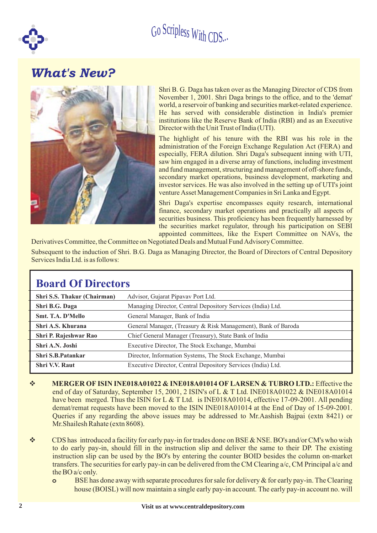

### *What's New?*



Shri B. G. Daga has taken over as the Managing Director of CDS from November 1, 2001. Shri Daga brings to the office, and to the 'demat' world, a reservoir of banking and securities market-related experience. He has served with considerable distinction in India's premier institutions like the Reserve Bank of India (RBI) and as an Executive Director with the Unit Trust of India (UTI).

The highlight of his tenure with the RBI was his role in the administration of the Foreign Exchange Regulation Act (FERA) and especially, FERA dilution. Shri Daga's subsequent inning with UTI, saw him engaged in a diverse array of functions, including investment and fund management, structuring and management of off-shore funds, secondary market operations, business development, marketing and investor services. He was also involved in the setting up of UTI's joint venture Asset Management Companies in Sri Lanka and Egypt.

Shri Daga's expertise encompasses equity research, international finance, secondary market operations and practically all aspects of securities business. This proficiency has been frequently harnessed by the securities market regulator, through his participation on SEBI appointed committees, like the Expert Committee on NAVs, the

Derivatives Committee, the Committee on Negotiated Deals and Mutual Fund Advisory Committee.

Subsequent to the induction of Shri. B.G. Daga as Managing Director, the Board of Directors of Central Depository Services India Ltd. is as follows:

| <b>Board Of Directors</b>   |                                                               |  |  |
|-----------------------------|---------------------------------------------------------------|--|--|
| Shri S.S. Thakur (Chairman) | Advisor, Gujarat Pipavav Port Ltd.                            |  |  |
| Shri B.G. Daga              | Managing Director, Central Depository Services (India) Ltd.   |  |  |
| Smt. T.A. D'Mello           | General Manager, Bank of India                                |  |  |
| Shri A.S. Khurana           | General Manager, (Treasury & Risk Management), Bank of Baroda |  |  |
| Shri P. Rajeshwar Rao       | Chief General Manager (Treasury), State Bank of India         |  |  |
| Shri A.N. Joshi             | Executive Director, The Stock Exchange, Mumbai                |  |  |
| Shri S.B.Patankar           | Director, Information Systems, The Stock Exchange, Mumbai     |  |  |
| <b>Shri V.V. Raut</b>       | Executive Director, Central Depository Services (India) Ltd.  |  |  |

- v **MERGER OF ISIN INE018A01022 & INE018A01014 OF LARSEN & TUBRO LTD.:** Effective the end of day of Saturday, September 15, 2001, 2 ISIN's of L & T Ltd. INE018A01022 & INE018A01014 have been merged. Thus the ISIN for L & T Ltd. is INE018A01014, effective 17-09-2001. All pending demat/remat requests have been moved to the ISIN INE018A01014 at the End of Day of 15-09-2001. Queries if any regarding the above issues may be addressed to Mr.Aashish Bajpai (extn 8421) or Mr.Shailesh Rahate (extn 8608).
- v CDS has introduced a facility for early pay-in for trades done on BSE & NSE. BO's and/or CM's who wish to do early pay-in, should fill in the instruction slip and deliver the same to their DP. The existing instruction slip can be used by the BO's by entering the counter BOID besides the column on-market transfers. The securities for early pay-in can be delivered from the CM Clearing a/c, CM Principal a/c and the BO a/c only.
	- BSE has done away with separate procedures for sale for delivery & for early pay-in. The Clearing house (BOISL) will now maintain a single early pay-in account. The early pay-in account no. will **o**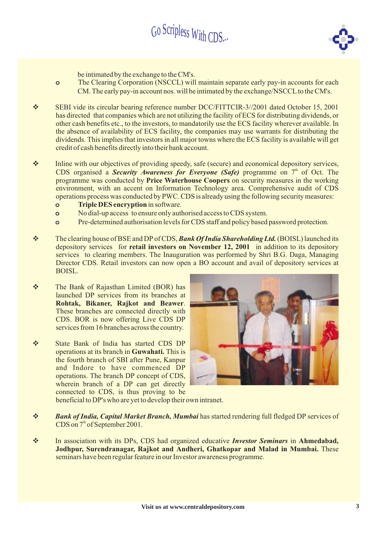

be intimated by the exchange to the CM's.

**o**

- The Clearing Corporation (NSCCL) will maintain separate early pay-in accounts for each CM. The early pay-in account nos. will be intimated by the exchange/NSCCL to the CM's.
- SEBI vide its circular bearing reference number DCC/FITTCIR-3//2001 dated October 15, 2001 has directed that companies which are not utilizing the facility of ECS for distributing dividends, or other cash benefits etc., to the investors, to mandatorily use the ECS facility wherever available. In the absence of availability of ECS facility, the companies may use warrants for distributing the dividends. This implies that investors in all major towns where the ECS facility is available will get credit of cash benefits directly into their bank account.  $\frac{1}{2}$
- $\frac{1}{2}$ Inline with our objectives of providing speedy, safe (secure) and economical depository services, CDS organised a *Security Awareness for Everyone (Safe)* programme on 7<sup>th</sup> of Oct. The programme was conducted by Price Waterhouse Coopers on security measures in the working environment, with an accent on Information Technology area. Comprehensive audit of CDS operations process was conducted by PWC. CDS is already using the following security measures:
	- **Triple DES encryption** in software. **o**
	- No dial-up access to ensure only authorised access to CDS system. **o**
	- Pre-determined authorisation levels for CDS staff and policy based password protection. **o**
- $\frac{1}{2}$ The clearing house of BSE and DP of CDS, Bank Of India Shareholding Ltd. (BOISL) launched its depository services for retail investors on November 12, 2001 in addition to its depository services to clearing members. The Inauguration was performed by Shri B.G. Daga, Managing Director CDS. Retail investors can now open a BO account and avail of depository services at BOISL.
- The Bank of Rajasthan Limited (BOR) has launched DP services from its branches at . **Rohtak, Bikaner, Rajkot and Beawer** These branches are connected directly with CDS. BOR is now offering Live CDS DP services from 16 branches across the country.  $\frac{1}{2}$
- $\frac{1}{2}$ State Bank of India has started CDS DP operations at its branch in Guwahati. This is the fourth branch of SBI after Pune, Kanpur and Indore to have commenced DP operations. The branch DP concept of CDS, wherein branch of a DP can get directly connected to CDS, is thus proving to be beneficial to DP's who are yet to develop their own intranet.



- 
- Bank of India, Capital Market Branch, Mumbai has started rendering full fledged DP services of  $CDS$  on  $7<sup>th</sup>$  of September 2001.  $\frac{1}{2}$
- In association with its DPs, CDS had organized educative *Investor Seminars* in Ahmedabad, **Jodhpur, Surendranagar, Rajkot and Andheri, Ghatkopar and Malad in Mumbai.** These seminars have been regular feature in our Investor awareness programme.  $\frac{1}{2}$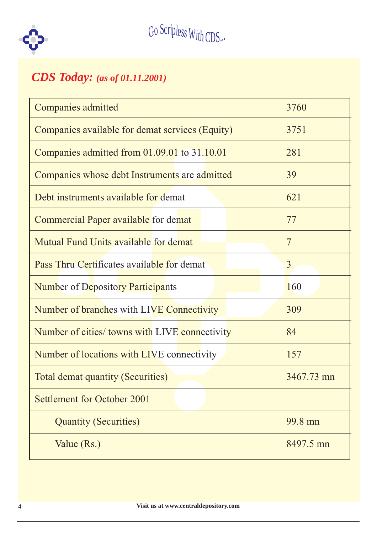

## *CDS Today: (as of 01.11.2001)*

| <b>Companies admitted</b>                             | 3760       |
|-------------------------------------------------------|------------|
| Companies available for demat services (Equity)       | 3751       |
| Companies admitted from 01.09.01 to 31.10.01          | 281        |
| Companies whose debt Instruments are admitted         | 39         |
| Debt instruments available for demat                  | 621        |
| <b>Commercial Paper available for demat</b>           | 77         |
| <b>Mutual Fund Units available for demat</b>          | 7          |
| Pass Thru Certificates available for demat            | 3          |
| <b>Number of Depository Participants</b>              | 160        |
|                                                       |            |
| <b>Number of branches with LIVE Connectivity</b>      | 309        |
| <b>Number of cities/ towns with LIVE connectivity</b> | 84         |
| Number of locations with LIVE connectivity            | 157        |
| Total demat quantity (Securities)                     | 3467.73 mn |
| <b>Settlement for October 2001</b>                    |            |
| <b>Quantity (Securities)</b>                          | 99.8 mn    |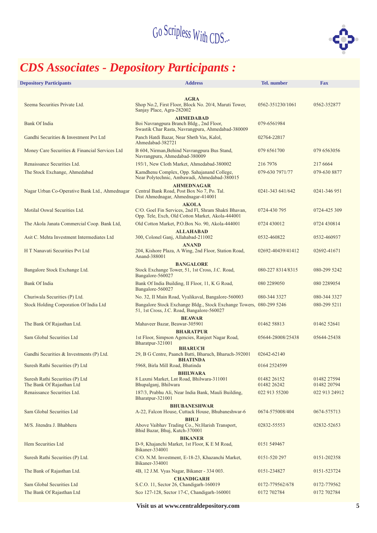

## *CDS Associates - Depository Participants :*

| <b>Depository Participants</b>                               | <b>Address</b>                                                                                                           | Tel. number                | <b>Fax</b>                 |
|--------------------------------------------------------------|--------------------------------------------------------------------------------------------------------------------------|----------------------------|----------------------------|
|                                                              |                                                                                                                          |                            |                            |
| Seema Securities Private Ltd.                                | <b>AGRA</b><br>Shop No.2, First Floor, Block No. 20/4, Maruti Tower,<br>Sanjay Place, Agra-282002                        | 0562-351230/1061           | 0562-352877                |
| <b>Bank Of India</b>                                         | <b>AHMEDABAD</b><br>Boi Navrangpura Branch Bldg., 2nd Floor,<br>Swastik Char Rasta, Navrangpura, Ahmedabad-380009        | 079-6561984                |                            |
| Gandhi Securities & Investment Pvt Ltd                       | Panch Hatdi Bazar, Near Sheth Vas, Kalol,<br>Ahmedabad-382721                                                            | 02764-22817                |                            |
| Money Care Securities & Financial Services Ltd               | B 604, Nirman, Behind Navrangpura Bus Stand,<br>Navrangpura, Ahmedabad-380009                                            | 079 6561700                | 079 6563056                |
| Renaissance Securities Ltd.                                  | 193/1, New Cloth Market, Ahmedabad-380002                                                                                | 216 7976                   | 217 6 6 6 4                |
| The Stock Exchange, Ahmedabad                                | Kamdhenu Complex, Opp. Sahajanand College,<br>Near Polytechnic, Ambawadi, Ahmedabad-380015                               | 079-630 7971/77            | 079-630 8877               |
|                                                              | <b>AHMEDNAGAR</b>                                                                                                        |                            |                            |
| Nagar Urban Co-Operative Bank Ltd., Ahmednagar               | Central Bank Road, Post Box No 7, Po. Tal.<br>Dist Ahmednagar, Ahmednagar-414001                                         | 0241-343 641/642           | 0241-346 951               |
| Motilal Oswal Securities Ltd.                                | <b>AKOLA</b><br>C/O. Goel Fin Services, 2nd Fl, Shram Shakti Bhavan,<br>Opp. Tele, Exch, Old Cotton Market, Akola-444001 | 0724-430 795               | 0724-425 309               |
| The Akola Janata Commercial Coop. Bank Ltd,                  | Old Cotton Market, P.O.Box No. 90, Akola-444001                                                                          | 0724 430012                | 0724 430814                |
|                                                              | <b>ALLAHABAD</b>                                                                                                         |                            |                            |
| Asit C. Mehta Investment Intermediates Ltd                   | 300, Colonel Ganj, Allahabad-211002                                                                                      | 0532-460822                | 0532-460937                |
| H T Nanavati Securities Pvt Ltd                              | <b>ANAND</b><br>204, Kishore Plaza, A Wing, 2nd Floor, Station Road,<br>Anand-388001                                     | 02692-40439/41412          | 02692-41671                |
| Bangalore Stock Exchange Ltd.                                | <b>BANGALORE</b><br>Stock Exchange Tower, 51, 1st Cross, J.C. Road,<br>Bangalore-560027                                  | 080-227 8314/8315          | 080-299 5242               |
| <b>Bank Of India</b>                                         | Bank Of India Building, II Floor, 11, K G Road,<br>Bangalore-560027                                                      | 080 2289050                | 080 2289054                |
| Churiwala Securities (P) Ltd.                                | No. 32, II Main Road, Vyalikaval, Bangalore-560003                                                                       | 080-344 3327               | 080-344 3327               |
| <b>Stock Holding Corporation Of India Ltd</b>                | Bangalore Stock Exchange Bldg., Stock Exchange Towers, 080-299 5246<br>51, 1st Cross, J.C. Road, Bangalore-560027        |                            | 080-299 5211               |
|                                                              | <b>BEAWAR</b>                                                                                                            |                            |                            |
| The Bank Of Rajasthan Ltd.                                   | Mahaveer Bazar, Beawar-305901<br><b>BHARATPUR</b>                                                                        | 01462 58813                | 01462 52641                |
| Sam Global Securities Ltd                                    | 1st Floor, Simpson Agencies, Ranjeet Nagar Road,<br>Bharatpur-321001                                                     | 05644-28008/25438          | 05644-25438                |
| Gandhi Securities & Investments (P) Ltd.                     | <b>BHARUCH</b><br>29, B G Centre, Paanch Batti, Bharuch, Bharuch-392001<br><b>BHATINDA</b>                               | 02642-62140                |                            |
| Suresh Rathi Securities (P) Ltd                              | 5968, Birla Mill Road, Bhatinda                                                                                          | 0164 2524599               |                            |
|                                                              | <b>BHILWARA</b>                                                                                                          |                            |                            |
| Suresh Rathi Securities (P) Ltd<br>The Bank Of Rajasthan Ltd | 8 Laxmi Market, Lnt Road, Bhilwara-311001<br>Bhupalganj, Bhilwara                                                        | 01482 26152<br>01482 26242 | 01482 27594<br>01482 20794 |
| Renaissance Securities Ltd.                                  | 187/3, Prabhu Ali, Near India Bank, Mauli Building,<br>Bharatpur-321001                                                  | 022 913 55200              | 022 913 24912              |
| Sam Global Securities Ltd                                    | <b>BHUBANESHWAR</b><br>A-22, Falcon House, Cuttack House, Bhubaneshwar-6                                                 | 0674-575008/404            | 0674-575713                |
| M/S. Jitendra J. Bhabhera                                    | <b>BHUJ</b><br>Above Vaibhav Trading Co., Nr.Harish Transport,<br>Bhid Bazar, Bhuj, Kutch-370001                         | 02832-55553                | 02832-52653                |
| Hem Securities Ltd                                           | <b>BIKANER</b><br>D-9, Khajanchi Market, 1st Floor, K E M Road,<br>Bikaner-334001                                        | 0151 549467                |                            |
| Suresh Rathi Securities (P) Ltd.                             | C/O. N.M. Investment, E-18-23, Khazanchi Market,<br>Bikaner-334001                                                       | 0151-520 297               | 0151-202358                |
| The Bank of Rajasthan Ltd.                                   | 4B, 12 J.M. Vyas Nagar, Bikaner - 334 003.<br><b>CHANDIGARH</b>                                                          | 0151-234827                | 0151-523724                |
| Sam Global Securities Ltd                                    | S.C.O. 11, Sector 26, Chandigarh-160019                                                                                  | 0172-779562/678            | 0172-779562                |
| The Bank Of Rajasthan Ltd                                    | Sco 127-128, Sector 17-C, Chandigarh-160001                                                                              | 0172 702784                | 0172 702784                |
|                                                              |                                                                                                                          |                            |                            |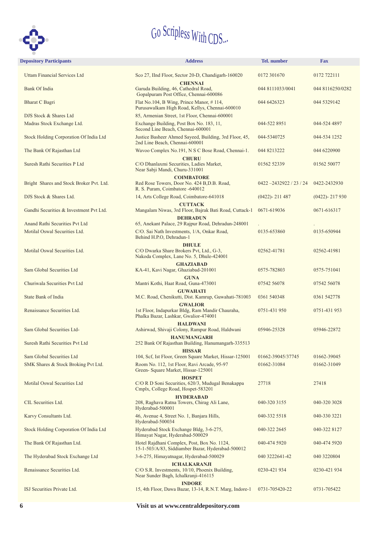

| <b>Depository Participants</b>                | <b>Address</b>                                                                                                | <b>Tel.</b> number         | <b>Fax</b>        |
|-----------------------------------------------|---------------------------------------------------------------------------------------------------------------|----------------------------|-------------------|
| <b>Uttam Financial Services Ltd</b>           | Sco 27, IInd Floor, Sector 20-D, Chandigarh-160020                                                            | 0172 301670                | 0172 722111       |
| Bank Of India                                 | <b>CHENNAI</b><br>Garuda Building, 46, Cathedral Road,<br>Gopalpuram Post Office, Chennai-600086              | 044 8111033/0041           | 044 8116250/0282  |
| <b>Bharat C Bagri</b>                         | Flat No.104, B Wing, Prince Manor, #114,<br>Purusawalkam High Road, Kellys, Chennai-600010                    | 044 6426323                | 044 5329142       |
| DJS Stock & Shares Ltd                        | 85, Armenian Street, 1st Floor, Chennai-600001                                                                |                            |                   |
| Madras Stock Exchange Ltd.                    | Exchange Building, Post Box No. 183, 11,<br>Second Line Beach, Chennai-600001                                 | 044-522 8951               | 044-524 4897      |
| <b>Stock Holding Corporation Of India Ltd</b> | Justice Basheer Ahmed Sayeed, Building, 3rd Floor, 45,<br>2nd Line Beach, Chennai-600001                      | 044-5340725                | 044-534 1252      |
| The Bank Of Rajasthan Ltd                     | Wavoo Complex No.191, N S C Bose Road, Chennai-1.                                                             | 044 8213222                | 044 6220900       |
| Suresh Rathi Securities P Ltd                 | <b>CHURU</b><br>C/O Dhanlaxmi Securities, Ladies Market,<br>Near Sabji Mandi, Churu-331001                    | 01562 52339                | 01562 50077       |
| Bright Shares and Stock Broker Pvt. Ltd.      | <b>COIMBATORE</b><br>Red Rose Towers, Door No. 424 B, D.B. Road,<br>R. S. Puram, Coimbatore -640012           | $0422 - 2432922 / 23 / 24$ | 0422-2432930      |
| DJS Stock & Shares Ltd.                       | 14, Arts College Road, Coimbatore-641018                                                                      | $(0422) - 211487$          | $(0422) - 217930$ |
| Gandhi Securities & Investment Pvt Ltd.       | <b>CUTTACK</b><br>Mangalam Niwas, 3rd Floor, Bajrak Bati Road, Cuttack-1                                      | 0671-619036                | 0671-616317       |
| Anand Rathi Securities Pvt Ltd                | <b>DEHRADUN</b><br>65, Anekant Palace, 29 Rajpur Road, Dehradun-248001                                        |                            |                   |
| Motilal Oswal Securities Ltd.                 | C/O. Sai Nath Investments, 1/A, Onkar Road,<br>Behind H.P.O, Dehradun-1                                       | 0135-653860                | 0135-650944       |
|                                               | <b>DHULE</b>                                                                                                  |                            |                   |
| Motilal Oswal Securities Ltd.                 | C/O Dwarka Share Brokers Pvt, Ltd., G-3,<br>Nakoda Complex, Lane No. 5, Dhule-424001                          | 02562-41781                | 02562-41981       |
| Sam Global Securities Ltd                     | <b>GHAZIABAD</b><br>KA-41, Kavi Nagar, Ghaziabad-201001                                                       | 0575-782803                | 0575-751041       |
| Churiwala Securities Pvt Ltd                  | <b>GUNA</b><br>Mantri Kothi, Haat Road, Guna-473001                                                           | 07542 56078                | 07542 56078       |
| State Bank of India                           | <b>GUWAHATI</b><br>M.C. Road, Chenikutti, Dist. Kamrup, Guwahati-781003                                       | 0361 540348                | 0361 542778       |
| Renaissance Securities Ltd.                   | <b>GWALIOR</b><br>1st Floor, Indapurkar Bldg, Ram Mandir Chauraha,<br>Phalka Bazar, Lashkar, Gwalior-474001   | 0751-431 950               | 0751-431 953      |
| Sam Global Securities Ltd-                    | <b>HALDWANI</b><br>Ashirwad, Shivaji Colony, Rampur Road, Haldwani                                            | 05946-25328                | 05946-22872       |
| Suresh Rathi Securities Pvt Ltd               | <b>HANUMANGARH</b><br>252 Bank Of Rajasthan Building, Hanumangarh-335513                                      |                            |                   |
| Sam Global Securities Ltd                     | <b>HISSAR</b><br>104, Scf, Ist Floor, Green Square Market, Hissar-125001                                      | 01662-39045/37745          | 01662-39045       |
| SMK Shares & Stock Broking Pvt Ltd.           | Room No. 112, 1st Floor, Ravi Arcade, 95-97<br>Green- Square Market, Hissar-125001                            | 01662-31084                | 01662-31049       |
| Motilal Oswal Securities Ltd                  | <b>HOSPET</b><br>C/O R D Soni Securities, 620/3, Mudugal Benakappa<br>Cmplx, College Road, Hospet-583201      | 27718                      | 27418             |
| CIL Securities Ltd.                           | <b>HYDERABAD</b><br>208, Raghava Ratna Towers, Chirag Ali Lane,<br>Hyderabad-500001                           | 040-320 3155               | 040-320 3028      |
| Karvy Consultants Ltd.                        | 46, Avenue 4, Street No. 1, Banjara Hills,<br>Hyderabad-500034                                                | 040-332 5518               | 040-330 3221      |
| Stock Holding Corporation Of India Ltd        | Hyderabad Stock Exchange Bldg, 3-6-275,<br>Himayat Nagar, Hyderabad-500029                                    | 040-322 2645               | 040-322 8127      |
| The Bank Of Rajasthan Ltd.                    | Hotel Rajdhani Complex, Post, Box No. 1124,<br>15-1-503/A/83, Siddiamber Bazar, Hyderabad-500012              | 040-474 5920               | 040-474 5920      |
| The Hyderabad Stock Exchange Ltd              | 3-6-275, Himayatnagar, Hyderabad-500029                                                                       | 040 3222641-42             | 040 3220804       |
| Renaissance Securities Ltd.                   | <b>ICHALKARANJI</b><br>C/O S.R. Investments, 10/10, Phoenix Building,<br>Near Sunder Bagh, Ichalkranji-416115 | 0230-421 934               | 0230-421 934      |
| ISJ Securities Private Ltd.                   | <b>INDORE</b><br>15, 4th Floor, Dawa Bazar, 13-14, R.N.T. Marg, Indore-1                                      | 0731-705420-22             | 0731-705422       |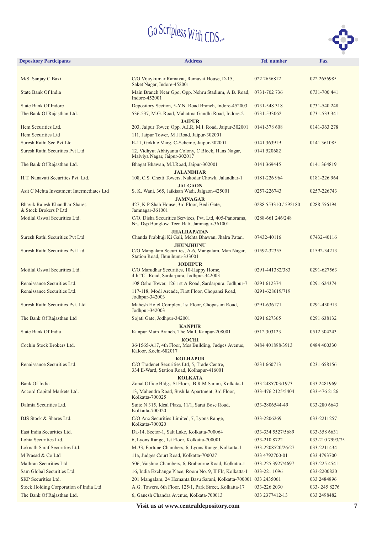

| <b>Depository Participants</b>                                | <b>Address</b>                                                                                                | <b>Tel.</b> number   | <b>Fax</b>      |
|---------------------------------------------------------------|---------------------------------------------------------------------------------------------------------------|----------------------|-----------------|
|                                                               |                                                                                                               |                      |                 |
| M/S. Sanjay C Baxi                                            | C/O Vijaykumar Ramavat, Ramavat House, D-15,<br>Saket Nagar, Indore-452001                                    | 022 2656812          | 022 2656985     |
| State Bank Of India                                           | Main Branch Near Gpo, Opp. Nehru Stadium, A.B. Road,<br>Indore-452001                                         | 0731-702 736         | 0731-700 441    |
| <b>State Bank Of Indore</b>                                   | Depository Section, 5-Y.N. Road Branch, Indore-452003                                                         | 0731-548 318         | 0731-540 248    |
| The Bank Of Rajasthan Ltd.                                    | 536-537, M.G. Road, Mahatma Gandhi Road, Indore-2                                                             | 0731-533062          | 0731-533 341    |
| Hem Securities Ltd.                                           | <b>JAIPUR</b><br>203, Jaipur Tower, Opp. A.I.R, M.I. Road, Jaipur-302001                                      | 0141-378 608         | 0141-363 278    |
| Hem Securities Ltd                                            | 111, Jaipur Tower, M I Road, Jaipur-302001                                                                    |                      |                 |
| Suresh Rathi Sec Pvt Ltd                                      | E-11, Gokhle Marg, C-Scheme, Jaipur-302001                                                                    | 0141 363919          | 0141 361085     |
| Suresh Rathi Securities Pvt Ltd                               | 12, Vidhyut Abhiyanta Colony, C Block, Hans Nagar,<br>Malviya Nagar, Jaipur-302017                            | 0141 520682          |                 |
| The Bank Of Rajasthan Ltd.                                    | Bhagat Bhawan, M.I.Road, Jaipur-302001                                                                        | 0141 369445          | 0141 364819     |
| H.T. Nanavati Securities Pvt. Ltd.                            | <b>JALANDHAR</b><br>108, C.S. Chetti Towers, Nakodar Chowk, Jalandhar-1                                       | 0181-226 964         | 0181-226 964    |
| Asit C Mehta Investment Intermediates Ltd                     | <b>JALGAON</b><br>S. K. Wani, 365, Jaikisan Wadi, Jalgaon-425001                                              | 0257-226743          | 0257-226743     |
|                                                               | <b>JAMNAGAR</b>                                                                                               |                      |                 |
| <b>Bhavik Rajesh Khandhar Shares</b><br>& Stock Brokers P Ltd | 427, K P Shah House, 3rd Floor, Bedi Gate,<br>Jamnagar-361001                                                 | 0288 553310 / 592180 | 0288 556194     |
| Motilal Oswal Securities Ltd.                                 | C/O. Disha Securities Services, Pvt. Ltd, 405-Panorama,<br>Nr., Dsp Bunglow, Teen Bati, Jamnagar-361001       | 0288-661 246/248     |                 |
| Suresh Rathi Securities Pvt Ltd                               | <b>JHALRAPATAN</b><br>Chanda Prabhuji Ki Gali, Mehta Bhawan, Jhalra Patan.                                    | 07432-40116          | 07432-40116     |
| Suresh Rathi Securities Pvt Ltd.                              | <b>JHUNJHUNU</b><br>C/O Mangalam Securities, A-6, Mangalam, Man Nagar,<br>Station Road, Jhunjhunu-333001      | 01592-32355          | 01592-34213     |
|                                                               | <b>JODHPUR</b>                                                                                                |                      |                 |
| Motilal Oswal Securities Ltd.                                 | C/O Marudhar Securities, 10-Happy Home,<br>4th "C" Road, Sardarpura, Jodhpur-342003                           | 0291-441382/383      | 0291-627563     |
| Renaissance Securities Ltd.                                   | 108 Osho Tower, 126 1st A Road, Sardarpura, Jodhpur-7                                                         | 0291 612374          | 0291 624374     |
| Renaissance Securities Ltd.                                   | 117-118, Modi Arcade, First Floor, Chopansi Road,<br>Jodhpur-342003                                           | 0291-628619/719      |                 |
| Suresh Rathi Securities Pvt. Ltd                              | Mahesh Hotel Complex, 1st Floor, Chopasani Road,<br>Jodhpur-342003                                            | 0291-636171          | 0291-430913     |
| The Bank Of Rajasthan Ltd                                     | Sojati Gate, Jodhpur-342001                                                                                   | 0291 627365          | 0291 638132     |
| State Bank Of India                                           | <b>KANPUR</b><br>Kanpur Main Branch, The Mall, Kanpur-208001                                                  | 0512 303123          | 0512 304243     |
| Cochin Stock Brokers Ltd.                                     | <b>KOCHI</b><br>36/1565-A17, 4th Floor, Mes Building, Judges Avenue,<br>Kaloor, Kochi-682017                  | 0484 401898/3913     | 0484 400330     |
| Renaissance Securities Ltd.                                   | <b>KOLHAPUR</b><br>C/O Tradenet Securities Ltd, 5, Trade Centre,<br>334 E-Ward, Station Road, Kolhapur-416001 | 0231 660713          | 0231 658156     |
| <b>Bank Of India</b>                                          | <b>KOLKATA</b><br>Zonal Office Bldg., St Floor, B R M Sarani, Kolkata-1                                       | 033 2485703/1973     | 033 2481969     |
| Accord Capital Markets Ltd.                                   | 13, Mahendra Road, Sushila Apartment, 3rd Floor,<br>Kolkatta-700025                                           | 033-476 2125/5404    | 033-476 2126    |
| Dalmia Securities Ltd.                                        | Suite N 315, Ideal Plaza, 11/1, Sarat Bose Road,<br>Kolkatta-700020                                           | 033-2806544-49       | 033-280 6643    |
| DJS Stock & Shares Ltd.                                       | C/O Anc Securities Limited, 7, Lyons Range,<br>Kolkatta-700020                                                | 033-2206269          | 033-2211257     |
| East India Securities Ltd.                                    | Da-14, Sector-1, Salt Lake, Kolkatta-700064                                                                   | 033-334 5527/5689    | 033-358 6631    |
| Lohia Securities Ltd.                                         | 6, Lyons Range, 1st Floor, Kolkatta-700001                                                                    | 033-210 8722         | 033-210 7993/75 |
| Loknath Saraf Securities Ltd.                                 | M-33, Fortune Chambers, 6, Lyons Range, Kolkatta-1                                                            | 033-2208520/26/27    | 033-2211434     |
| M Prasad & Co Ltd                                             | 11a, Judges Court Road, Kolkatta-700027                                                                       | 033 4792700-01       | 033 4793700     |
| Mathran Securities Ltd.                                       | 506, Vaishno Chambers, 6, Brabourne Road, Kolkatta-1                                                          | 033-225 3927/4697    | 033-225 4541    |
| Sam Global Securities Ltd.                                    | 16, India Exchange Place, Room No. 9, II Flr, Kolkatta-1                                                      | 033-221 1096         | 033-2200820     |
| SKP Securities Ltd.                                           | 201 Mangalam, 24 Hemanta Basu Sarani, Kolkatta-700001 033 2435061                                             |                      | 033 2484896     |
| Stock Holding Corporation of India Ltd                        | A.G. Towers, 6th Floor, 125/1, Park Street, Kolkatta-17                                                       | 033-226 2030         | 033-2458276     |
| The Bank Of Rajasthan Ltd.                                    | 6, Ganesh Chandra Avenue, Kolkata-700013                                                                      | 033 2377412-13       | 033 2498482     |
|                                                               |                                                                                                               |                      |                 |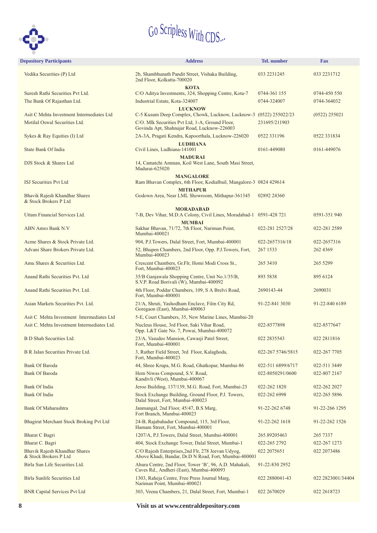

| <b>Depository Participants</b>                         | <b>Address</b>                                                                                              | <b>Tel.</b> number | <b>Fax</b>        |
|--------------------------------------------------------|-------------------------------------------------------------------------------------------------------------|--------------------|-------------------|
| Vedika Securities (P) Ltd                              | 2b, Shambhunath Pandit Street, Vishaka Building,<br>2nd Floor, Kolkatta-700020                              | 033 2231245        | 033 2231712       |
| Suresh Rathi Securities Pvt Ltd.                       | <b>KOTA</b><br>C/O Aditya Investments, 324, Shopping Centre, Kota-7                                         | 0744-361 155       | 0744-450 550      |
| The Bank Of Rajasthan Ltd.                             | Industrial Estate, Kota-324007                                                                              | 0744-324007        | 0744-364032       |
| Asit C Mehta Investment Intermediates Ltd              | <b>LUCKNOW</b><br>C-5 Kusum Deep Complex, Chowk, Lucknow, Lucknow-3 (0522) 255022/23                        |                    | $(0522)$ 255021   |
| Motilal Oswal Securities Ltd.                          | C/O. Mlk Securities Pvt Ltd, 1-A, Ground Floor,<br>Govinda Apt, Shahnajar Road, Lucknow-226003              | 231695/211903      |                   |
| Sykes & Ray Equities (I) Ltd                           | 2A-3A, Pragati Kendra, Kapoorthala, Lucknow-226020                                                          | 0522 331196        | 0522 331834       |
| State Bank Of India                                    | <b>LUDHIANA</b><br>Civil Lines, Ludhiana-141001                                                             | 0161-449080        | 0161-449076       |
| DJS Stock & Shares Ltd                                 | <b>MADURAI</b><br>14, Camatchi Amman, Koil West Lane, South Masi Street,<br>Madurai-625020                  |                    |                   |
| <b>ISJ Securities Pvt Ltd</b>                          | <b>MANGALORE</b><br>Ram Bhavan Complex, 6th Floor, Kodialbail, Mangalore-3 0824 429614                      |                    |                   |
| Bhavik Rajesh Khandhar Shares<br>& Stock Brokers P Ltd | <b>MITHAPUR</b><br>Godown Area, Near LML Showroom, Mithapur-361345                                          | 02892 24360        |                   |
|                                                        | <b>MORADABAD</b>                                                                                            |                    |                   |
| Uttam Financial Services Ltd.                          | 7-B, Dev Vihar, M.D.A Colony, Civil Lines, Moradabad-1 0591-428 721<br><b>MUMBAI</b>                        |                    | 0591-351 940      |
| <b>ABN Amro Bank N.V</b>                               | Sakhar Bhavan, 71/72, 7th Floor, Nariman Point,<br>Mumbai-400021                                            | 022-281 2527/28    | 022-281 2589      |
| Acme Shares & Stock Private Ltd.                       | 904, P.J.Towers, Dalal Street, Fort, Mumbai-400001                                                          | 022-2657316/18     | 022-2657316       |
| Advani Share Brokers Private Ltd.                      | 52, Bhupen Chambers, 2nd Floor, Opp. P.J.Towers, Fort,<br>Mumbai-400023                                     | 267 1533           | 262 4369          |
| Amu Shares & Securities Ltd.                           | Crescent Chambers, Gr.Flr, Homi Modi Cross St.,<br>Fort, Mumbai-400023                                      | 265 3410           | 265 5299          |
| Anand Rathi Securities Pvt. Ltd                        | 35/B Ganjawala Shopping Centre, Unit No.1/35/B,<br>S.V.P. Road Borivali (W), Mumbai-400092                  | 893 5838           | 895 6124          |
| Anand Rathi Securities Pvt. Ltd.                       | 4th Floor, Poddar Chambers, 109, S A Brelvi Road,<br>Fort, Mumbai-400001                                    | 2690143-44         | 2690031           |
| Asian Markets Securities Pvt. Ltd.                     | 21/A, Shruti, Yashodham Enclave, Film City Rd,<br>Goregaon (East), Mumbai-400063                            | 91-22-841 3030     | 91-22-840 6189    |
| Asit C Mehta Investment Intermediates Ltd              | 5-E, Court Chambers, 35, New Marine Lines, Mumbai-20                                                        |                    |                   |
| Asit C. Mehta Investment Intermediates Ltd.            | Nucleus House, 3rd Floor, Saki Vihar Road,<br>Opp. L&T Gate No. 7, Powai, Mumbai-400072                     | 022-8577898        | 022-8577647       |
| B D Shah Securities Ltd.                               | 23/A, Vasudeo Mansion, Cawasji Patel Street,<br>Fort, Mumbai-400001                                         | 022 2835543        | 022 2811816       |
| B R Jalan Securities Private Ltd.                      | 3, Ruther Field Street, 3rd Floor, Kalaghoda,<br>Fort, Mumbai-400023                                        | 022-267 5746/5815  | 022-267 7705      |
| <b>Bank Of Baroda</b>                                  | 44, Shree Krupa, M.G. Road, Ghatkopar, Mumbai-86                                                            | 022-511 6899/6717  | 022-511 3449      |
| <b>Bank Of Baroda</b>                                  | Hem Niwas Compound, S.V. Road,<br>Kandivli (West), Mumbai-400067                                            | 022-8050291/0600   | 022-807 2167      |
| Bank Of India                                          | Jeroo Building, 137/139, M.G. Road, Fort, Mumbai-23                                                         | 022-262 1820       | 022-262 2027      |
| <b>Bank Of India</b>                                   | Stock Exchange Building, Ground Floor, P.J. Towers,<br>Dalal Street, Fort, Mumbai-400023                    | 022-262 6998       | 022-265 5896      |
| <b>Bank Of Maharashtra</b>                             | Janmangal, 2nd Floor, 45/47, B.S Marg,<br>Fort Branch, Mumbai-400023                                        | 91-22-262 6748     | 91-22-266 1295    |
| Bhagirat Merchant Stock Broking Pvt Ltd                | 24-B, Rajabahadur Compound, 115, 3rd Floor,<br>Hamam Street, Fort, Mumbai-400001                            | 91-22-262 1618     | 91-22-262 1526    |
| Bharat C Bagri                                         | 1207/A, P.J.Towers, Dalal Street, Mumbai-400001                                                             | 265.89205463       | 265 7337          |
| Bharat C. Bagri                                        | 404, Stock Exchange Tower, Dalal Street, Mumbai-1                                                           | 022-265 2792       | 022-267 1273      |
| Bhavik Rajesh Khandhar Shares<br>& Stock Brokers P Ltd | C/O Rajesh Enterprises, 2nd Flr, 278 Jeevan Udyog,<br>Above Khadi, Bandar, Dr.D N Road, Fort, Mumbai-400001 | 022 2075 651       | 022 2073486       |
| Birla Sun Life Securities Ltd.                         | Ahura Centre, 2nd Floor, Tower 'B', 96, A.D. Mahakali,<br>Caves Rd., Andheri (East), Mumbai-400093          | 91-22-830 2952     |                   |
| <b>Birla Sunlife Securities Ltd</b>                    | 1303, Raheja Centre, Free Press Journal Marg,<br>Nariman Point, Mumbai-400021                               | 022 2880041-43     | 022 2823001/34404 |
| <b>BNR Capital Services Pvt Ltd</b>                    | 303, Veena Chambers, 21, Dalal Street, Fort, Mumbai-1                                                       | 022 2670029        | 022 2618723       |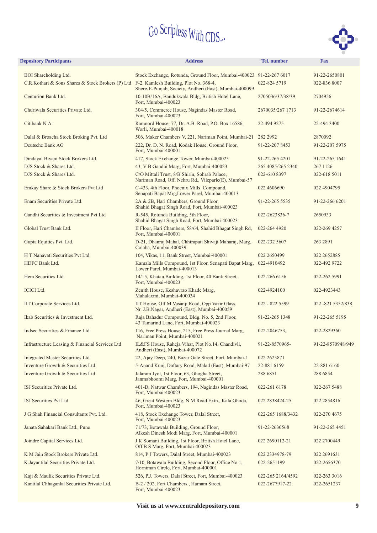

| <b>Depository Participants</b>                    | <b>Address</b>                                                                                         | <b>Tel.</b> number | <b>Fax</b>         |
|---------------------------------------------------|--------------------------------------------------------------------------------------------------------|--------------------|--------------------|
| <b>BOI</b> Shareholding Ltd.                      | Stock Exchange, Rotunda, Ground Floor, Mumbai-400023 91-22-267 6017                                    |                    | 91-22-2650801      |
| C.R.Kothari & Sons Shares & Stock Brokers (P) Ltd | F-2, Kamlesh Building, Plot No. 368-4,<br>Shere-E-Punjab, Society, Andheri (East), Mumbai-400099       | 022-824 5719       | 022-836 8007       |
| Centurion Bank Ltd.                               | 10-10B/16A, Bandukwala Bldg, British Hotel Lane,<br>Fort, Mumbai-400023                                | 2705036/37/38/39   | 2704956            |
| Churiwala Securities Private Ltd.                 | 304/5, Commerce House, Nagindas Master Road,<br>Fort, Mumbai-400023                                    | 2670035/267 1713   | 91-22-2674614      |
| Citibank N.A.                                     | Ramnord House, 77, Dr. A.B. Road, P.O. Box 16586,<br>Worli, Mumbai-400018                              | 22-494 9275        | 22-494 3400        |
| Dalal & Broacha Stock Broking Pvt. Ltd            | 506, Maker Chambers V, 221, Nariman Point, Mumbai-21                                                   | 282 2992           | 2870092            |
| Deutsche Bank AG                                  | 222, Dr. D. N. Road, Kodak House, Ground Floor,<br>Fort, Mumbai-400001                                 | 91-22-207 8453     | 91-22-207 5975     |
| Dindayal Biyani Stock Brokers Ltd.                | 417, Stock Exchange Tower, Mumbai-400023                                                               | 91-22-265 4201     | 91-22-265 1641     |
| DJS Stock & Shares Ltd.                           | 43, V B Gandhi Marg, Fort, Mumbai-400023                                                               | 265 4085/265 2340  | 267 1126           |
| DJS Stock & Shares Ltd.                           | C/O Mittali Trust, 8/B Shirin, Sohrab Palace,<br>Nariman Road, Off. Nehru Rd., Vileparle(E), Mumbai-57 | 022-610 8397       | 022-618 5011       |
| Emkay Share & Stock Brokers Pvt Ltd               | C-433, 4th Floor, Phoenix Mills Compound,<br>Senapati Bapat Mrg, Lower Parel, Mumbai-400013            | 022 4606690        | 022 4904795        |
| Enam Securities Private Ltd.                      | 2A & 2B, Hari Chambers, Ground Floor,<br>Shahid Bhagat Singh Road, Fort, Mumbai-400023                 | 91-22-265 5535     | 91-22-266 6201     |
| Gandhi Securities & Investment Pvt Ltd            | R-545, Rotunda Building, 5th Floor,<br>Shahid Bhagat Singh Road, Fort, Mumbai-400023                   | 022-2623836-7      | 2650933            |
| Global Trust Bank Ltd.                            | II Floor, Hari Chambers, 58/64, Shahid Bhagat Singh Rd,<br>Fort, Mumbai-400001                         | 022-264 4920       | 022-269 4257       |
| Gupta Equities Pvt. Ltd.                          | D-21, Dhanraj Mahal, Chhtrapati Shivaji Maharaj, Marg,<br>Colaba, Mumbai-400039                        | 022-232 5607       | 263 2891           |
| H T Nanavati Securities Pvt Ltd.                  | 104, Vikas, 11, Bank Street, Mumbai-400001                                                             | 022 2650499        | 022 2652885        |
| HDFC Bank Ltd.                                    | Kamala Mills Compound, 1st Floor, Senapati Bapat Marg,<br>Lower Parel, Mumbai-400013                   | 022-4910492        | 022-492 9722       |
| Hem Securities Ltd.                               | 14/15, Khatau Building, 1st Floor, 40 Bank Street,<br>Fort, Mumbai-400023                              | 022-266 6156       | 022-262 5991       |
| <b>ICICI</b> Ltd.                                 | Zenith House, Keshavrao Khade Marg,<br>Mahalaxmi, Mumbai-400034                                        | 022-4924100        | 022-4923443        |
| IIT Corporate Services Ltd.                       | IIT House, Off M. Vasanji Road, Opp Vazir Glass,<br>Nr. J.B.Nagar, Andheri (East), Mumbai-400059       | 022 - 822 5599     | 022 - 821 5352/838 |
| Ikab Securities & Investment Ltd.                 | Raja Bahadur Compound, Bldg. No. 5, 2nd Floor,<br>43 Tamarind Lane, Fort, Mumbai-400023                | 91-22-265 1348     | 91-22-265 5195     |
| Indsec Securities & Finance Ltd.                  | 116, Free Press House, 215, Free Press Journal Marg,<br>Nariman Point, Mumbai-400021                   | 022-2046753,       | 022-2829360        |
| Infrastructure Leasing & Financial Services Ltd   | IL&FS House, Raheja Vihar, Plot No.14, Chandivli,<br>Andheri (East), Mumbai-400072                     | 91-22-8570965-     | 91-22-8570948/949  |
| Integrated Master Securities Ltd.                 | 22, Ajay Deep, 240, Bazar Gate Street, Fort, Mumbai-1                                                  | 022 2623871        |                    |
| Inventure Growth & Securities Ltd.                | 5-Anand Kunj, Daftary Road, Malad (East), Mumbai-97                                                    | 22-881 6159        | 22-881 6160        |
| Inventure Growth & Securities Ltd                 | Jalaram Jyot, 1st Floor, 63, Ghogha Street,<br>Janmabhoomi Marg, Fort, Mumbai-400001                   | 288 6851           | 288 6854           |
| ISJ Securities Private Ltd.                       | 401-D, Natwar Chambers, 194, Nagindas Master Road,<br>Fort, Mumbai-400023                              | 022-261 6178       | 022-267 5488       |
| ISJ Securities Pvt Ltd                            | 46, Great Western Bldg, N M Road Extn., Kala Ghoda,<br>Fort, Mumbai-400023                             | 022 2838424-25     | 022 2854816        |
| J G Shah Financial Consultants Pvt. Ltd.          | 418, Stock Exchange Tower, Dalal Street,<br>Fort, Mumbai-400023                                        | 022-265 1688/3432  | 022-270 4675       |
| Janata Sahakari Bank Ltd., Pune                   | 71/73, Botawala Building, Ground Floor,<br>Alkesh Dinesh Modi Marg, Fort, Mumbai-400001                | 91-22-2630568      | 91-22-265 4451     |
| Joindre Capital Services Ltd.                     | J K Somani Building, 1st Floor, British Hotel Lane,<br>Off B S Marg, Fort, Mumbai-400023               | 022 2690112-21     | 022 2700449        |
| K M Jain Stock Brokers Private Ltd.               | 814, P J Towers, Dalal Street, Mumbai-400023                                                           | 022 2334978-79     | 022 2691631        |
| K.Jayantilal Securities Private Ltd.              | 7/10, Botawala Building, Second Floor, Office No.1,<br>Horniman Circle, Fort, Mumbai-400001            | 022-2651199        | 022-2656370        |
| Kaji & Maulik Securities Private Ltd.             | 526, P.J. Towers, Dalal Street, Fort, Mumbai-400023                                                    | 022-265 2164/4592  | 022-263 3016       |
| Kantilal Chhaganlal Securities Private Ltd.       | B-2 / 202, Fort Chambers., Hamam Street,<br>Fort, Mumbai-400023                                        | 022-2677917-22     | 022-2651237        |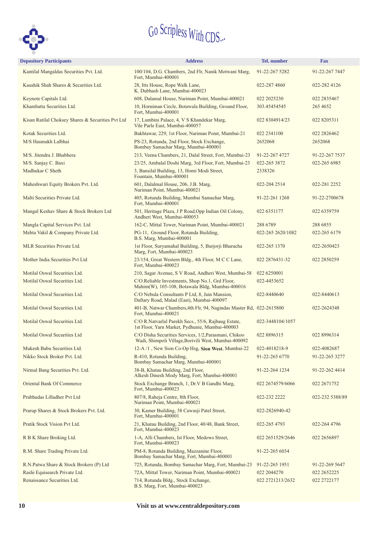

| <b>Depository Participants</b>                    | <b>Address</b>                                                                                                | Tel. number       | <b>Fax</b>      |
|---------------------------------------------------|---------------------------------------------------------------------------------------------------------------|-------------------|-----------------|
| Kantilal Mangaldas Securities Pvt. Ltd.           | 100/104, D.G. Chambers, 2nd Flr, Nanik Motwani Marg,<br>Fort, Mumbai-400001                                   | 91-22-267 5282    | 91-22-267 7447  |
| Kaushik Shah Shares & Securities Ltd.             | 28, Itts House, Rope Walk Lane,<br>K. Dubhash Lane, Mumbai-400023                                             | 022-287 4860      | 022-282 4126    |
| Keynote Capitals Ltd.                             | 608, Dalamal House, Nariman Point, Mumbai-400021                                                              | 022 2025230       | 022 2835467     |
| Khambatta Securities Ltd.                         | 10, Horniman Circle, Botawala Building, Ground Floor,<br>Fort, Mumbai-400001                                  | 303.45454545      | 265 4652        |
| Kisan Ratilal Choksey Shares & Securities Pvt Ltd | 17, Lumbini Palace, 4, V S Khandekar Marg,<br>Vile Parle East, Mumbai-400057                                  | 022 8304914/23    | 022 8205311     |
| Kotak Securities Ltd.                             | Bakhtawar, 229, 1st Floor, Nariman Point, Mumbai-21                                                           | 022 2341100       | 022 2826462     |
| M/S Hasmukh Lalbhai                               | PS-23, Rotunda, 2nd Floor, Stock Exchange,<br>Bombay Samachar Marg, Mumbai-400001                             | 2652068           | 2652068         |
| M/S. Jitendra J. Bhabhera                         | 213, Veena Chambers, 21, Dalal Street, Fort, Mumbai-23                                                        | 91-22-267 4727    | 91-22-267 7537  |
| M/S. Sanjay C. Baxi                               | 23/25, Ambalal Doshi Marg, 3rd Floor, Fort, Mumbai-23                                                         | 022-265 3872      | 022-265 6985    |
| Madhukar C Sheth                                  | 3, Bansilal Building, 13, Homi Modi Street,<br>Fountain, Mumbai-400001                                        | 2338326           |                 |
| Maheshwari Equity Brokers Pvt. Ltd.               | 601, Dalalmal House, 206, J.B. Marg,<br>Nariman Point, Mumbai-400021                                          | 022-204 2514      | 022-281 2252    |
| Malti Securities Private Ltd.                     | 405, Rotunda Building, Mumbai Samachar Marg,<br>Fort, Mumbai-400001                                           | 91-22-261 1268    | 91-22-2700678   |
| Mangal Keshav Share & Stock Brokers Ltd           | 501, Heritage Plaza, J P Road, Opp Indian Oil Colony,<br>Andheri West, Mumbai-400053                          | 022 6351177       | 022 6359759     |
| Mangla Capital Services Pvt. Ltd                  | 162-C, Mittal Tower, Nariman Point, Mumbai-400021                                                             | 288 6789          | 288 6855        |
| Mehta Vakil & Company Private Ltd.                | PG-11, Ground Floor, Rotunda Building,<br>B.S. Marg, Mumbai-400001                                            | 022-265 2620/1082 | 022-265 6179    |
| MLR Securities Private Ltd.                       | 1st Floor, Suryamahal Building, 5, Burjorji Bharucha<br>Marg, Fort, Mumbai-400023                             | 022-265 1370      | 022-2650423     |
| Mother India Securities Pvt Ltd                   | 23/154, Great Western Bldg., 4th Floor, M C C Lane,<br>Fort, Mumbai-400023                                    | 022 2876431-32    | 022 2850259     |
| Motilal Oswal Securities Ltd.                     | 210, Sagar Avenue, S V Road, Andheri West, Mumbai-58                                                          | 022 6250001       |                 |
| Motilal Oswal Securities Ltd.                     | C/O.Reliable Investments, Shop No.1, Grd Floor,<br>Mahim(W), 105-108, Botawala Bldg, Mumbai-400016            | 022-4453652       |                 |
| Motilal Oswal Securities Ltd.                     | C/O Nebula Consultants P Ltd, 8, Jain Mansion,<br>Daftary Road, Malad (East), Mumbai-400097                   | 022-8440640       | 022-8440613     |
| Motilal Oswal Securities Ltd.                     | 401-B, Natwar Chambers, 4th Flr, 94, Nagindas Master Rd, 022-2615800<br>Fort, Mumbai-400021                   |                   | 022-2624348     |
| Motilal Oswal Securities Ltd.                     | C/O R.Natvarlal Parekh Secs., 55/6, Rajbaug Estate,<br>1st Floor, Yarn Market, Pydhunie, Mumbai-400003        | 022-3448104/1057  |                 |
| <b>Motilal Oswal Securities Ltd</b>               | C/O Disha Securities Services, 1/2, Parasmani, Chikoo<br>Wadi, Shimpoli Village, Borivili West, Mumbai-400092 | 022 8896315       | 022 8996314     |
| Mukesh Babu Securities Ltd.                       | 12-A /1, New Sion Co-Op Hsg, Sion West, Mumbai-22                                                             | 022-4018218-9     | 022-4082687     |
| Nikko Stock Broker Pvt. Ltd.                      | R-410, Rotunda Building,<br>Bombay Samachar Marg, Mumbai-400001                                               | 91-22-265 6770    | 91-22-265 3277  |
| Nirmal Bang Securities Pvt. Ltd.                  | 38-B, Khatau Building, 2nd Floor,<br>Alkesh Dinesh Mody Marg, Fort, Mumbai-400001                             | 91-22-264 1234    | 91-22-262 4414  |
| Oriental Bank Of Commerce                         | Stock Exchange Branch, 1, Dr.V B Gandhi Marg,<br>Fort, Mumbai-400023                                          | 022 2674579/6066  | 022 2671752     |
| Prabhudas Lilladher Pvt Ltd                       | 807/8, Raheja Centre, 8th Floor,<br>Nariman Point, Mumbai-400021                                              | 022-232 2222      | 022-232 5388/89 |
| Prarup Shares & Stock Brokers Pvt. Ltd.           | 30, Kamer Building, 38 Cawasji Patel Street,<br>Fort, Mumbai-400001                                           | 022-2826940-42    |                 |
| Pratik Stock Vision Pvt Ltd.                      | 21, Khatau Building, 2nd Floor, 40/48, Bank Street,<br>Fort, Mumbai-400023                                    | 022-265 4793      | 022-264 4796    |
| R B K Share Broking Ltd.                          | 1-A, Alli Chambers, Ist Floor, Medows Street,<br>Fort, Mumbai-400023                                          | 022 2651529/2646  | 022 2656897     |
| R.M. Share Trading Private Ltd.                   | PM-8, Rotunda Building, Mazzanine Floor,<br>Bombay Samachar Marg, Fort, Mumbai-400001                         | 91-22-265 6034    |                 |
| R.N.Patwa Share & Stock Brokers (P) Ltd           | 725, Rotunda, Bombay Samachar Marg, Fort, Mumbai-23                                                           | 91-22-265 1951    | 91-22-269 5647  |
| Rashi Equisearch Private Ltd.                     | 72A, Mittal Tower, Nariman Point, Mumbai-400021                                                               | 022 2044270       | 022 2652225     |
| Renaissance Securities Ltd.                       | 714, Rotunda Bldg., Stock Exchange,<br>B.S. Marg, Fort, Mumbai-400023                                         | 022 2721213/2632  | 022 2722177     |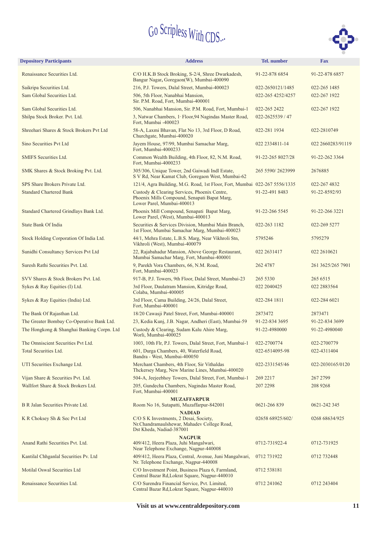

| <b>Depository Participants</b>             | <b>Address</b>                                                                                                                      | <b>Tel.</b> number | <b>Fax</b>        |
|--------------------------------------------|-------------------------------------------------------------------------------------------------------------------------------------|--------------------|-------------------|
| Renaissance Securities Ltd.                | C/O H.K.B Stock Broking, S-2/4, Shree Dwarkadesh,<br>Bangur Nagar, Goregaon(W), Mumbai-400090                                       | 91-22-878 6854     | 91-22-878 6857    |
| Saikripa Securities Ltd.                   | 216, P.J. Towers, Dalal Street, Mumbai-400023                                                                                       | 022-2650121/1485   | 022-265 1485      |
| Sam Global Securities Ltd.                 | 506, 5th Floor, Nanabhai Mansion,<br>Sir. P.M. Road, Fort, Mumbai-400001                                                            | 022-265 4252/4257  | 022-267 1922      |
| Sam Global Securities Ltd.                 | 506, Nanabhai Mansion, Sir. P.M. Road, Fort, Mumbai-1                                                                               | 022-265 2422       | 022-267 1922      |
| Shilpa Stock Broker. Pvt. Ltd.             | 3, Natwar Chambers, 1 Floor, 94 Nagindas Master Road,<br>Fort, Mumbai -400023                                                       | 022-2625539 / 47   |                   |
| Shreehari Shares & Stock Brokers Pvt Ltd   | 58-A, Laxmi Bhavan, Flat No 13, 3rd Floor, D Road,<br>Churchgate, Mumbai-400020                                                     | 022-281 1934       | 022-2810749       |
| Sino Securities Pvt Ltd                    | Jayem House, 97/99, Mumbai Samachar Marg,<br>Fort, Mumbai-4000233                                                                   | 022 2334811-14     | 022 2660283/91119 |
| SMIFS Securities Ltd.                      | Common Wealth Building, 4th Floor, 82, N.M. Road,<br>Fort, Mumbai-4000233                                                           | 91-22-265 8027/28  | 91-22-262 3364    |
| SMK Shares & Stock Broking Pvt. Ltd.       | 305/306, Unique Tower, 2nd Gaiwadi Indl Estate,<br>S V Rd, Near Kamat Club, Goregaon West, Mumbai-62                                | 265 5590/2623999   | 2676885           |
| SPS Share Brokers Private Ltd.             | 121/4, Agra Building, M.G. Road, 1st Floor, Fort, Mumbai 022-267 5556/1335                                                          |                    | 022-267 4832      |
| <b>Standard Chartered Bank</b>             | Custody & Clearing Services, Phoenix Centre,<br>Phoenix Mills Compound, Senapati Bapat Marg,<br>Lower Parel, Mumbai-400013          | 91-22-491 8483     | 91-22-8592/93     |
| Standard Chartered Grindlays Bank Ltd.     | Phoenix Mill Compound, Senapati Bapat Marg,<br>Lower Parel, (West), Mumbai-400013                                                   | 91-22-266 5545     | 91-22-266 3221    |
| State Bank Of India                        | Securities & Services Division, Mumbai Main Branch,<br>1st Floor, Mumbai Samachar Marg, Mumbai-400023                               | 022-263 1182       | 022-269 5277      |
| Stock Holding Corporation Of India Ltd.    | 44/1, Mehra Estate, L.B.S. Marg, Near Vikhroli Stn,<br>Vikhroli (West), Mumbai-400079                                               | 5795246            | 5795279           |
| Sunidhi Consultancy Services Pvt Ltd       | 22, Rajabahadur Mansion, Above George Restaurant,<br>Mumbai Samachar Marg, Fort, Mumbai-400001                                      | 022 263 1417       | 022 2610621       |
| Suresh Rathi Securities Pvt. Ltd.          | 9, Parekh Vora Chambers, 66, N.M. Road,<br>Fort, Mumbai-400023                                                                      | 262 4787           | 261 3625/265 7901 |
| SVV Shares & Stock Brokers Pvt. Ltd.       | 917-B, P.J. Towers, 9th Floor, Dalal Street, Mumbai-23                                                                              | 265 5330           | 265 6515          |
| Sykes & Ray Equities (I) Ltd.              | 3rd Floor, Daulatram Mansion, Kitridge Road,<br>Colaba, Mumbai-400005                                                               | 022 2040425        | 022 2883564       |
| Sykes & Ray Equities (India) Ltd.          | 3rd Floor, Cama Building, 24/26, Dalal Street,<br>Fort, Mumbai-400001                                                               | 022-284 1811       | 022-284 6021      |
| The Bank Of Rajasthan Ltd.                 | 18/20 Cawasji Patel Street, Fort, Mumbai-400001                                                                                     | 2873472            | 2873471           |
| The Greater Bombay Co-Operative Bank Ltd.  | 23, Kedia Kunj, J.B. Nagar, Andheri (East), Mumbai-59                                                                               | 91-22-834 3695     | 91-22-834 3699    |
| The Hongkong & Shanghai Banking Corpn. Ltd | Custody & Clearing, Sudam Kalu Ahire Marg,<br>Worli, Mumbai-400025                                                                  | 91-22-4980000      | 91-22-4980040     |
| The Omniscient Securities Pvt Ltd.         | 1003, 10th Flr, P.J. Towers, Dalal Street, Fort, Mumbai-1                                                                           | 022-2700774        | 022-2700779       |
| <b>Total Securities Ltd.</b>               | 601, Durga Chambers, 40, Waterfield Road,<br>Bandra - West, Mumbai-400050                                                           | 022-6514095-98     | 022-4311404       |
| UTI Securities Exchange Ltd.               | Merchant Chambers, 4th Floor, Sir Vithaldas<br>Thckersey Marg, New Marine Lines, Mumbai-400020                                      | 022-2331545/46     | 022-2030165/0120  |
| Vijan Share & Securities Pvt. Ltd.         | 504-A, Jeejeebhoy Towers, Dalal Street, Fort, Mumbai-1                                                                              | 269 2217           | 267 2799          |
| Wallfort Share & Stock Brokers Ltd.        | 205, Gundecha Chambers, Nagindas Master Road,<br>Fort, Mumbai-400001                                                                | 207 2298           | 208 9268          |
| B R Jalan Securities Private Ltd.          | <b>MUZAFFARPUR</b><br>Room No 16, Sutapatti, Muzaffarpur-842001                                                                     | 0621-266 839       | 0621-242 345      |
| K R Choksey Sh & Sec Pvt Ltd               | <b>NADIAD</b><br>C/O S K Investments, 2 Desai, Society,<br>Nr. Chandramaulshewar, Mahadev College Road,<br>Dst Kheda, Nadiad-387001 | 02658 68925/602/   | 0268 68634/925    |
| Anand Rathi Securities Pvt. Ltd.           | <b>NAGPUR</b><br>409/412, Heera Plaza, Juhi Mangalwari,<br>Near Telephone Exchange, Nagpur-440008                                   | 0712-731922-4      | 0712-731925       |
| Kantilal Chhganlal Securities Pv. Ltd      | 409/412, Heera Plaza, Central, Avenue, Juni Mangalwari,<br>Nr. Telephone Exchange, Nagpur-440008                                    | 0712 731922        | 0712 732448       |
| <b>Motilal Oswal Securities Ltd</b>        | C/O Investment Point, Business Plaza 6, Farmland,<br>Central Bazar Rd, Lokrat Square, Nagpur-440010                                 | 0712 538181        |                   |
| Renaissance Securities Ltd.                | C/O Surendra Financial Service, Pvt. Limited,<br>Central Bazar Rd, Lokrat Square, Nagpur-440010                                     | 0712 241062        | 0712 243404       |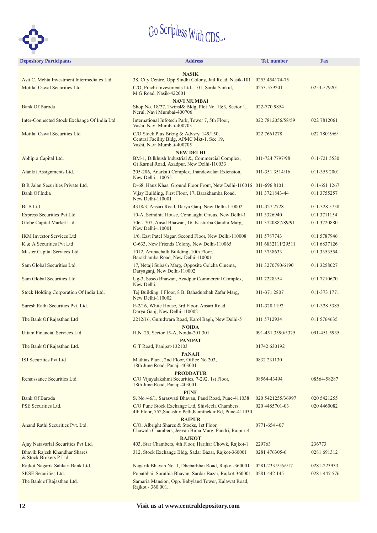

| <b>Depository Participants</b>                         | <b>Address</b>                                                                                                                      | <b>Tel.</b> number | <b>Fax</b>   |
|--------------------------------------------------------|-------------------------------------------------------------------------------------------------------------------------------------|--------------------|--------------|
|                                                        | <b>NASIK</b>                                                                                                                        |                    |              |
| Asit C. Mehta Investment Intermediates Ltd             | 38, City Centre, Opp Sindhi Colony, Jail Road, Nasik-101 0253 454174-75                                                             |                    |              |
| Motilal Oswal Securities Ltd.                          | C/O, Prachi Investments Ltd., 101, Sarda Sankul,<br>M.G.Road, Nasik-422001                                                          | 0253-579201        | 0253-579201  |
| <b>Bank Of Baroda</b>                                  | <b>NAVI MUMBAI</b><br>Shop No. 18/27, Twinsl& Bldg, Plot No. 1&3, Sector 1,<br>Nerul, Navi Mumbai-400706                            | 022-770 9854       |              |
| Inter-Connected Stock Exchange Of India Ltd            | International Infotech Park, Tower 7, 5th Floor,<br>Vashi, Navi Mumbai-400703                                                       | 022 7812056/58/59  | 022 7812061  |
| Motilal Oswal Securities Ltd                           | C/O Stock Plus Brkng & Advsry, 149/150,<br>Central Facility Bldg, APMC Mkt-1, Sec 19,<br>Vashi, Navi Mumbai-400705                  | 022 7661278        | 022 7801969  |
|                                                        | <b>NEW DELHI</b>                                                                                                                    |                    |              |
| Abhipra Capital Ltd.                                   | BM-1, Dilkhush Industrial &, Commercial Complex,<br>Gt Karnal Road, Azadpur, New Delhi-110033                                       | 011-724 7797/98    | 011-721 5530 |
| Alankit Assignments Ltd.                               | 205-206, Anarkali Complex, Jhandewalan Extension,<br>New Delhi-110055                                                               | 011-351 3514/16    | 011-355 2001 |
| B R Jalan Securities Private Ltd.                      | D-68, Hauz Khas, Ground Floor Front, New Delhi-110016 011-696 8101                                                                  |                    | 011-651 1267 |
| <b>Bank Of India</b>                                   | Vijay Building, First Floor, 17, Barakhamba Road,<br>New Delhi-110001                                                               | 011 3721843-44     | 011 3755257  |
| BLB Ltd.                                               | 4318/3, Ansari Road, Darya Ganj, New Delhi-110002                                                                                   | 011-327 2728       | 011-328 5758 |
| <b>Express Securities Pvt Ltd</b>                      | 10-A, Scindhia House, Connaught Circus, New Delhi-1                                                                                 | 011 3326940        | 011 3711154  |
| Globe Capital Market Ltd.                              | 706 - 707, Ansal Bhawan, 16, Kasturba Gandhi Marg,<br>New Delhi-110001                                                              | 011 3720887/89/91  | 011 3720880  |
| <b>IKM Investor Services Ltd</b>                       | 1/6, East Patel Nagar, Second Floor, New Delhi-110008                                                                               | 011 5787743        | 011 5787946  |
| K & A Securities Pvt Ltd                               | C-633, New Friends Colony, New Delhi-110065                                                                                         | 011 6832111/29511  | 011 6837126  |
| Master Capital Services Ltd                            | 1012, Arunachalk Building, 10th Floor,<br>Barakhamba Road, New Delhi-110001                                                         | 011 3738633        | 011 3353554  |
| Sam Global Securities Ltd.                             | 17, Netaji Subash Marg, Opposite Golcha Cinema,<br>Daryaganj, New Delhi-110002                                                      | 011 3270790/6190   | 011 3258027  |
| Sam Global Securities Ltd                              | Ug-3, Sasco Bhawan, Azadpur Commercial Complex,<br>New Delhi.                                                                       | 011 7228354        | 011 7210670  |
| Stock Holding Corporation Of India Ltd.                | Tej Building, I Floor, 8 B, Bahadurshah Zafar Marg,<br>New Delhi-110002                                                             | 011-371 2807       | 011-373 1771 |
| Suresh Rathi Securities Pvt. Ltd.                      | E-2/16, White House, 3rd Floor, Ansari Road,<br>Darya Ganj, New Delhi-110002                                                        | 011-328 1192       | 011-328 5385 |
| The Bank Of Rajasthan Ltd                              | 2212/16, Gurudwara Road, Karol Bagh, New Delhi-5<br><b>NOIDA</b>                                                                    | 011 5712934        | 011 5764635  |
| Uttam Financial Services Ltd.                          | H.N. 25, Sector 15-A, Noida-201 301<br><b>PANIPAT</b>                                                                               | 091-451 3390/3325  | 091-451 5935 |
| The Bank Of Rajasthan Ltd.                             | G T Road, Panipat-132103                                                                                                            | 01742 630192       |              |
| <b>ISJ Securities Pvt Ltd</b>                          | <b>PANAJI</b><br>Mathias Plaza, 2nd Floor, Office No.203,<br>18th June Road, Panaji-403001                                          | 0832 231130        |              |
| Renaissance Securities Ltd.                            | <b>PRODDATUR</b><br>C/O Vijayalakshmi Securities, 7-292, 1st Floor,<br>18th June Road, Panaji-403001                                | 08564-43494        | 08564-58287  |
| <b>Bank Of Baroda</b>                                  | <b>PUNE</b><br>S. No./46/1, Saraswati Bhavan, Paud Road, Pune-411038                                                                | 020 5421255/36997  | 020 5421255  |
| PSE Securities Ltd.                                    | C/O Pune Stock Exchange Ltd, Shivleela Chambers,<br>4th Floor, 752, Sadashiv Peth, Kumthekar Rd, Pune-411030                        | 020 4485701-03     | 020 4460082  |
| Anand Rathi Securities Pvt. Ltd.                       | <b>RAIPUR</b><br>C/O, Albright Shares & Stocks, 1st Floor,<br>Chawala Chambers, Jeevan Bima Marg, Pandri, Raipur-4<br><b>RAJKOT</b> | 0771-654 407       |              |
| Ajay Natavarlal Securities Pvt Ltd.                    | 403, Star Chambers, 4th Floor, Harihar Chowk, Rajkot-1                                                                              | 229763             | 236773       |
| Bhavik Rajesh Khandhar Shares<br>& Stock Brokers P Ltd | 312, Stock Exchange Bldg, Sadar Bazar, Rajkot-360001                                                                                | 0281 476305-6      | 0281 691312  |
| Rajkot Nagarik Sahkari Bank Ltd.                       | Nagarik Bhavan No. 1, Dhebarbhai Road, Rajkot-360001                                                                                | 0281-233 916/917   | 0281-223933  |
| <b>SKSE Securities Ltd.</b>                            | Popatbhai, Sorathia Bhavan, Sardar Bazar, Rajkot-360001                                                                             | 0281-442 145       | 0281-447 576 |
| The Bank of Rajasthan Ltd.                             | Samaria Mansion, Opp. Babyland Tower, Kalawat Road,<br>Rajkot - 360 001                                                             |                    |              |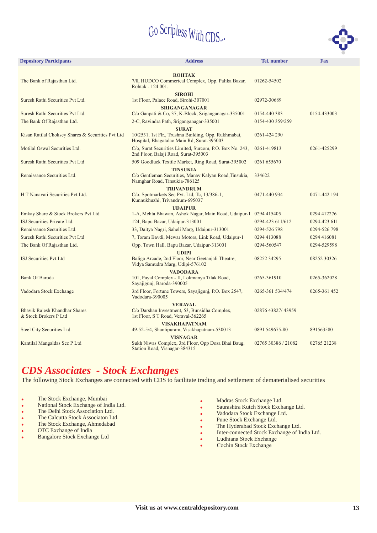

| <b>Depository Participants</b>                         | <b>Address</b>                                                                                             | <b>Tel.</b> number  | <b>Fax</b>   |
|--------------------------------------------------------|------------------------------------------------------------------------------------------------------------|---------------------|--------------|
| The Bank of Rajasthan Ltd.                             | <b>ROHTAK</b><br>7/8, HUDCO Commerical Complex, Opp. Palika Bazar,<br>Rohtak - 124 001.                    | 01262-54502         |              |
| Suresh Rathi Securities Pvt Ltd.                       | <b>SIROHI</b><br>1st Floor, Palace Road, Sirohi-307001                                                     | 02972-30689         |              |
| Suresh Rathi Securities Pvt Ltd.                       | <b>SRIGANGANAGAR</b><br>$C/O$ Ganpati & Co, 37, K-Block, Sriganganagar-335001                              | 0154-440 383        | 0154-433003  |
| The Bank Of Rajasthan Ltd.                             | 2-C, Ravindra Path, Sriganganagar-335001                                                                   | 0154-430 359/259    |              |
|                                                        | <b>SURAT</b>                                                                                               |                     |              |
| Kisan Ratilal Choksey Shares & Securities Pvt Ltd      | 10/2531, 1st Flr., Trushna Building, Opp. Rukhmabai,<br>Hospital, Bhagatalao Main Rd, Surat-395003         | 0261-424 290        |              |
| Motilal Oswal Securities Ltd.                          | C/o, Surat Securities Limited, Surcom, P.O. Box No. 243,<br>2nd Floor, Balaji Road, Surat-395003           | 0261-419813         | 0261-425299  |
| Suresh Rathi Securities Pvt Ltd                        | 509 Goodluck Textile Market, Ring Road, Surat-395002                                                       | 0261 655670         |              |
| Renaissance Securities Ltd.                            | <b>TINSUKIA</b><br>C/o Gentleman Securities, Manav Kalyan Road, Tinsukia,<br>Namghar Road, Tinsukia-786125 | 334622              |              |
| H T Nanavati Securities Pvt Ltd.                       | <b>TRIVANDRUM</b><br>C/o. Spotmarkets Sec Pvt. Ltd, Tc, 13/386-1,<br>Kunnukhuzhi, Trivandrum-695037        | 0471-440 934        | 0471-442 194 |
| Emkay Share & Stock Brokers Pvt Ltd                    | <b>UDAIPUR</b><br>1-A, Mehta Bhawan, Ashok Nagar, Main Road, Udaipur-1 0294 415405                         |                     | 0294 412276  |
| ISJ Securities Private Ltd.                            | 124, Bapu Bazar, Udaipur-313001                                                                            | 0294-423 611/612    | 0294-423 611 |
| Renaissance Securities Ltd.                            | 33, Daitya Nagri, Saheli Marg, Udaipur-313001                                                              | 0294-526 798        | 0294-526 798 |
| Suresh Rathi Securities Pvt Ltd                        | 7, Toram Bavdi, Mewar Motors, Link Road, Udaipur-1                                                         | 0294 413088         | 0294 416081  |
| The Bank Of Rajasthan Ltd.                             | Opp. Town Hall, Bapu Bazar, Udaipur-313001                                                                 | 0294-560547         | 0294-529598  |
|                                                        | <b>UDIPI</b>                                                                                               |                     |              |
| <b>ISJ Securities Pvt Ltd</b>                          | Baliga Arcade, 2nd Floor, Near Geetanjali Theatre,<br>Vidya Samudra Marg, Udipi-576102                     | 08252 34295         | 08252 30326  |
|                                                        | <b>VADODARA</b>                                                                                            |                     |              |
| <b>Bank Of Baroda</b>                                  | 101, Payal Complex - II, Lokmanya Tilak Road,<br>Sayajigunj, Baroda-390005                                 | 0265-361910         | 0265-362028  |
| Vadodara Stock Exchange                                | 3rd Floor, Fortune Towers, Sayajigunj, P.O. Box 2547,<br>Vadodara-390005                                   | 0265-361 534/474    | 0265-361 452 |
|                                                        | <b>VERAVAL</b>                                                                                             |                     |              |
| Bhavik Rajesh Khandhar Shares<br>& Stock Brokers P Ltd | C/o Darshan Investment, 53, Bunsidha Complex,<br>1st Floor, S T Road, Veraval-362265                       | 02876 43827/ 43959  |              |
| Steel City Securities Ltd.                             | <b>VISAKHAPATNAM</b><br>49-52-5/4, Shantipuram, Visakhapatnam-530013                                       | 0891 549675-80      | 891563580    |
|                                                        | <b>VISNAGAR</b>                                                                                            |                     |              |
| Kantilal Mangaldas Sec P Ltd                           | Sukh Niwas Complex, 3rd Floor, Opp Dosa Bhai Baug,<br>Station Road, Visnagar-384315                        | 02765 30386 / 21082 | 02765 21238  |

#### *CDS Associates - Stock Exchanges*

The following Stock Exchanges are connected with CDS to facilitate trading and settlement of dematerialised securities

.

- . The Stock Exchange, Mumbai
- .<br>• National Stock Exchange of India Ltd.
- . The Delhi Stock Association Ltd.
- . The Calcutta Stock Associaton Ltd.
- . The Stock Exchange, Ahmedabad
- . OTC Exchange of India
- . Bangalore Stock Exchange Ltd
- Madras Stock Exchange Ltd.
- **.** Saurashtra Kutch Stock Exchange Ltd.
- .<br>. Vadodara Stock Exchange Ltd.
- . Pune Stock Exchange Ltd.
- . The Hyderabad Stock Exchange Ltd.
- .<br>. Inter-connected Stock Exchange of India Ltd.
- .<br>. Ludhiana Stock Exchange
- . Cochin Stock Exchange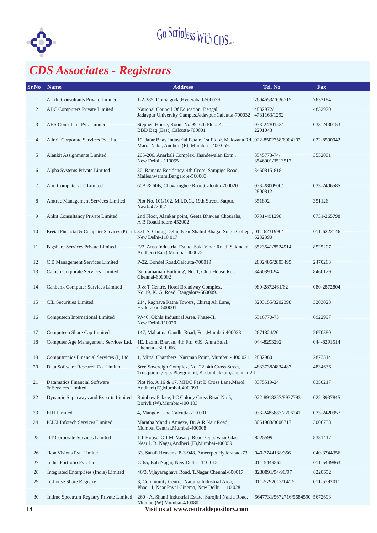

## *CDS Associates - Registrars*

| SrNo           | <b>Name</b>                                         | <b>Address</b>                                                                                                                         | Tel. No                         | <b>Fax</b>  |
|----------------|-----------------------------------------------------|----------------------------------------------------------------------------------------------------------------------------------------|---------------------------------|-------------|
| 1              | Aarthi Consultants Private Limited                  | 1-2-285, Domalguda, Hyderabad-500029                                                                                                   | 7604653/7636715                 | 7632184     |
| $\overline{c}$ | ABC Computers Private Limited                       | National Council Of Education, Bengal,<br>Jadavpur University Campus, Jadavpur, Calcutta-700032                                        | 4832972/<br>4731163/1292        | 4832970     |
| 3              | <b>ABS</b> Consultant Pvt. Limited                  | Stephen House, Room No.99, 6th Floor, 4,<br>BBD Bag (East), Calcutta-700001                                                            | 033-2430153/<br>2201043         | 033-2430153 |
| 4              | Adroit Corporate Services Pvt. Ltd.                 | 19, Jafar Bhay Industrial Estate, 1st Floor, Makwana Rd., 022-8502758/6904102<br>Marol Naka, Andheri (E), Mumbai - 400 059.            |                                 | 022-8590942 |
| 5              | Alankit Assignments Limited                         | 205-206, Anarkali Complex, Jhandewalan Extn.,<br>New Delhi - 110055                                                                    | 3545773-74/<br>3546001/3513512  | 3552001     |
| 6              | Alpha Systems Private Limited                       | 30, Ramana Residency, 4th Cross, Sampige Road,<br>Malleshwaram, Bangalore-560003                                                       | 3460815-818                     |             |
| 7              | Ami Computers (I) Limited                           | 60A & 60B, Chowringhee Road, Calcutta-700020                                                                                           | 033-2800900/<br>2800812         | 033-2406585 |
| 8              | Amtrac Management Services Limited                  | Plot No. 101/102, M.I.D.C., 19th Street, Satpur,<br>Nasik-422007                                                                       | 351892                          | 351126      |
| 9              | Ankit Consultancy Private Limited                   | 2nd Floor, Alankar point, Geeta Bhawan Chouraha,<br>A B Road, Indore-452002                                                            | 0731-491298                     | 0731-265798 |
| 10             |                                                     | Beetal Financial & Computer Services (P) Ltd. 321-S, Chirag Delhi, Near Shahid Bhagat Singh College, 011-6231990/<br>New Delhi-110 017 | 6232390                         | 011-6222146 |
| 11             | Bigshare Services Private Limited                   | E/2, Ansa Industrial Estate, Saki Vihar Road, Sakinaka, 8523541/8524914<br>Andheri (East), Mumbai-400072                               |                                 | 8525207     |
| 12             | C B Management Services Limited                     | P-22, Bondel Road, Calcutta-700019                                                                                                     | 2802486/2803495                 | 2470263     |
| 13             | Cameo Corporate Services Limited                    | 'Subramanian Building', No. 1, Club House Road,<br>Chennai-600002                                                                      | 8460390-94                      | 8460129     |
| 14             | Canbank Computer Services Limited                   | R & T Centre, Hotel Broadway Complex,<br>No.19, K. G. Road, Bangalore-560009.                                                          | 080-2872461/62                  | 080-2872804 |
| 15             | <b>CIL Securities Limited</b>                       | 214, Raghava Ratna Towers, Chirag Ali Lane,<br>Hyderabad-500001                                                                        | 3203155/3202398                 | 3203028     |
| 16             | Computech International Limited                     | W-40, Okhla Industrial Area, Phase-II,<br>New Delhi-110020                                                                             | 6316770-73                      | 6922997     |
| 17             | Computech Share Cap Limited                         | 147, Mahatma Gandhi Road, Fort, Mumbai-400023                                                                                          | 2671824/26                      | 2670380     |
| 18             | Computer Age Management Services Ltd.               | 1E, Laxmi Bhavan, 4th Flr., 609, Anna Salai,<br>Chennai - 600 006.                                                                     | 044-8293292                     | 044-8291514 |
| 19             | Computronics Financial Services (I) Ltd.            | 1, Mittal Chambers, Nariman Point, Mumbai - 400 021. 2882960                                                                           |                                 | 2873314     |
| 20             | Data Software Research Co. Limited                  | Sree Sovereign Complex, No. 22, 4th Cross Street,<br>Trustpuram, Opp. Playground, Kodambakkam, Chennai-24                              | 4833738/4834487                 | 4834636     |
| 21             | Datamatics Financial Software<br>& Services Limited | Plot No. A 16 & 17, MIDC Part B Cross Lane, Marol,<br>Andheri (E), Mumbai-400 093                                                      | 8375519-24                      | 8350217     |
| 22             | Dynamic Superways and Exports Limited               | Rainbow Palace, I C Colony Cross Road No.5,<br>Borivli (W), Mumbai-400 103                                                             | 022-8918257/8937793             | 022-8937845 |
| 23             | <b>EIH</b> Limited                                  | 4, Mangoe Lane, Calcutta-700 001                                                                                                       | 033-2485883/2206141             | 033-2420957 |
| 24             | <b>ICICI</b> Infotech Services Limited              | Maratha Mandir Annexe, Dr. A.R.Nair Road,<br>Mumbai Central, Mumbai-400008                                                             | 3051988/3006717                 | 3006738     |
| 25             | IIT Corporate Services Limited                      | IIT House, Off M. Vasanji Road, Opp. Vazir Glass,<br>Near J. B. Nagar, Andheri (E), Mumbai-400059                                      | 8225599                         | 8381417     |
| 26             | Ikon Visions Pvt. Limited                           | 33, Sanali Heavens, 8-3-948, Ameerpet, Hyderabad-73                                                                                    | 040-3744138/356                 | 040-3744356 |
| 27             | Indus Portfolio Pvt. Ltd.                           | G-65, Bali Nagar, New Delhi - 110 015.                                                                                                 | 011-5449862                     | 011-5449863 |
| 28             | Integrated Enterprises (India) Limited              | 46/3, Vijayaraghava Road, T.Nagar, Chennai-600017                                                                                      | 8238891/94/96/97                | 8220652     |
| 29             | In-house Share Registry                             | 3, Community Centre, Naraina Industrial Area,<br>Phae - I, Near Payal Cinema, New Delhi - 110 028.                                     | 011-5792013/14/15               | 011-5792011 |
| 30             | Intime Spectrum Registry Private Limited            | 260 - A, Shanti Industrial Estate, Sarojini Naidu Road,<br>Mulund (W), Mumbai-400080                                                   | 5647731/5672716/5684590 5672693 |             |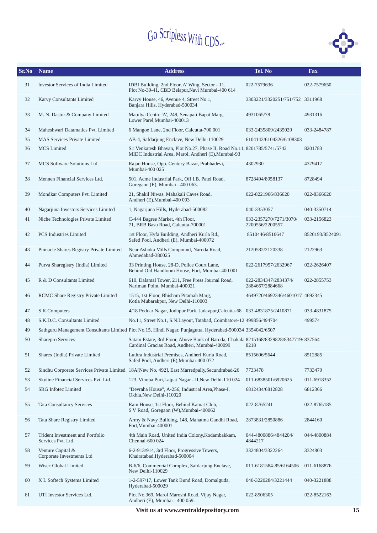

| Sr.No | <b>Name</b>                                            | <b>Address</b>                                                                                                                         | Tel. No                                   | <b>Fax</b>      |
|-------|--------------------------------------------------------|----------------------------------------------------------------------------------------------------------------------------------------|-------------------------------------------|-----------------|
| 31    | <b>Investor Services of India Limited</b>              | IDBI Building, 2nd Floor, A' Wing, Sector - 11,<br>Plot No-39-41, CBD Belapur, Navi Mumbai-400 614                                     | 022-7579636                               | 022-7579650     |
| 32    | Karvy Consultants Limited                              | Karvy House, 46, Avenue 4, Street No.1,<br>Banjara Hills, Hyderabad-500034                                                             | 3303221/3320251/751/752 3311968           |                 |
| 33    | M. N. Dastur & Company Limited                         | Matulya Centre 'A', 249, Senapati Bapat Marg,<br>Lower Parel, Mumbai-400013                                                            | 4931065/78                                | 4931316         |
| 34    | Maheshwari Datamatics Pvt. Limited                     | 6 Mangoe Lane, 2nd Floor, Calcutta-700 001                                                                                             | 033-2435809/2435029                       | 033-2484787     |
| 35    | <b>MAS Services Private Limited</b>                    | AB-4, Safdarjung Enclave, New Delhi-110029                                                                                             | 6104142/6104326/6108303                   |                 |
| 36    | <b>MCS</b> Limited                                     | Sri Venkatesh Bhavan, Plot No.27, Phase II, Road No.11, 8201785/5741/5742<br>MIDC Industrial Area, Marol, Andheri (E), Mumbai-93       |                                           | 8201783         |
| 37    | <b>MCS</b> Software Solutions Ltd                      | Rajan House, Opp. Century Bazar, Prabhadevi,<br>Mumbai-400 025                                                                         | 4302930                                   | 4379417         |
| 38    | Mennen Financial Services Ltd.                         | 501, Acme Industrial Park, Off I.B. Patel Road,<br>Goregaon (E), Mumbai - 400 063.                                                     | 8728494/8958137                           | 8728494         |
| 39    | Mondkar Computers Pvt. Limited                         | 21, Shakil Niwas, Mahakali Caves Road,<br>Andheri (E), Mumbai-400 093                                                                  | 022-8221966/836620                        | 022-8366620     |
| 40    | Nagarjuna Investors Services Limited                   | 1, Nagarjuna Hills, Hyderabad-500082                                                                                                   | 040-3353057                               | 040-3350714     |
| 41    | Niche Technologies Private Limited                     | C-444 Bagree Market, 4th Floor,<br>71, BRB Basu Road, Calcutta-700001                                                                  | 033-2357270/7271/3070/<br>2200556/2200557 | 033-2156823     |
| 42    | <b>PCS</b> Industries Limited                          | 1st Floor, Hyfa Building, Andheri Kurla Rd.,<br>Safed Pool, Andheri (E), Mumbai-400072                                                 | 8510446/8510647                           | 8520193/8524091 |
| 43    | Pinnacle Shares Registry Private Limited               | Near Ashoka Mills Compound, Naroda Road,<br>Ahmedabad-380025                                                                           | 2120582/2120338                           | 2122963         |
| 44    | Purva Sharegistry (India) Limited                      | 33 Printing House, 28-D, Police Court Lane,<br>Behind Old Handloom House, Fort, Mumbai-400 001                                         | 022-2617957/2632967                       | 022-2626407     |
| 45    | R & D Consultants Limited                              | 610, Dalamal Tower, 211, Free Press Journal Road,<br>Nariman Point, Mumbai-400021                                                      | 022-2834347/2834374/<br>2884667/2884668   | 022-2855753     |
| 46    | RCMC Share Registry Private Limited                    | 1515, 1st Floor, Bhisham Pitamah Marg,<br>Kotla Mubarakpur, New Delhi-110003                                                           | 4649720/4692346/4601017 4692345           |                 |
| 47    | S K Computers                                          | 4/18 Poddar Nagar, Jodhpur Park, Jadavpur, Calcutta-68 033-4831875/2410871                                                             |                                           | 033-4831875     |
| 48    | S.K.D.C. Consultants Limited                           | No.11, Street No.1, S.N.Layout, Tatabad, Coimbatore-12 499856/494704                                                                   |                                           | 499574          |
| 49    |                                                        | Sathguru Management Consultants Limited Plot No.15, Hindi Nagar, Punjagutta, Hyderabad-500034 3354042/6507                             |                                           |                 |
| 50    | Sharepro Services                                      | Satam Estate, 3rd Floor, Above Bank of Baroda, Chakala 8215168/8329828/8347719/837564<br>Cardinal Gracias Road, Andheri, Mumbai-400099 | 8218                                      |                 |
| 51    | Sharex (India) Private Limited                         | Luthra Industrial Premises, Andheri Kurla Road,<br>Safed Pool, Andheri (E), Mumbai-400 072                                             | 8515606/5644                              | 8512885         |
| 52    |                                                        | Sindhu Corporate Services Private Limited 18A[New No. 492], East Marredpally, Secundrabad-26                                           | 7733478                                   | 7733479         |
| 53    | Skyline Financial Services Pvt. Ltd.                   | 123, Vinoba Puri, Lajpat Nagar - II, New Delhi-110 024                                                                                 | 011-6838501/6920625                       | 011-6918352     |
| 54    | <b>SRG</b> Infotec Limited                             | "Devraha House", A-256, Industrial Area, Phase-I,<br>Okhla, New Delhi-110020                                                           | 6812434/6812828                           | 6812366         |
| 55    | <b>Tata Consultancy Services</b>                       | Ram House, 1st Floor, Behind Kamat Club,<br>S V Road, Goregaon (W), Mumbai-400062                                                      | 022-8765241                               | 022-8765185     |
| 56    | Tata Share Registry Limited                            | Army & Navy Building, 148, Mahatma Gandhi Road,<br>Fort, Mumbai-400001                                                                 | 2873831/2850886                           | 2844160         |
| 57    | Trident Investment and Portfolio<br>Services Pvt. Ltd. | 4th Main Road, United India Colony, Kodambakkam,<br>Chennai-600 024                                                                    | 044-4800886/4844204/<br>4844217           | 044-4800884     |
| 58    | Venture Capital &<br>Corporate Investments Ltd         | 6-2-913/914, 3rd Floor, Progressive Towers,<br>Khairatabad, Hyderabad-500004                                                           | 3324804/3322264                           | 3324803         |
| 59    | Wisec Global Limited                                   | B-6/6, Commercial Complex, Safdarjung Enclave,<br>New Delhi-110029                                                                     | 011-6181584-85/6164506                    | 011-6168876     |
| 60    | X L Softech Systems Limited                            | 1-2-597/17, Lower Tank Bund Road, Domalguda,<br>Hyderabad-500029                                                                       | 040-3220284/3221444                       | 040-3221888     |
| 61    | UTI Investor Services Ltd.                             | Plot No.369, Marol Maroshi Road, Vijay Nagar,<br>Andheri (E), Mumbai - 400 059.                                                        | 022-8506305                               | 022-8522163     |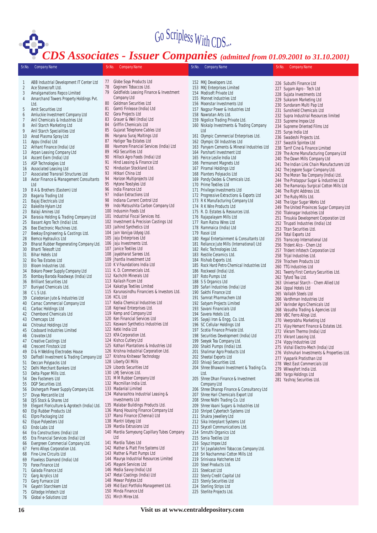

|                | <b>CDS Associates - Issuer Companies</b> (admitted from 01.09.2001 to 31.10.2001) |          |                                                                         |        |                                                                               |  |                                                                              |
|----------------|-----------------------------------------------------------------------------------|----------|-------------------------------------------------------------------------|--------|-------------------------------------------------------------------------------|--|------------------------------------------------------------------------------|
| Sr.No.         | <b>Company Name</b>                                                               | Sr.No.   | <b>Company Name</b>                                                     | Sr.No. | Company Name                                                                  |  | Sr.No. Company Name                                                          |
| 1              | ABB Industrial Development IT Center Ltd                                          | 77       | Globe Soya Products Ltd                                                 |        | 152 MKJ Developers Ltd.                                                       |  | 226 Subuthi Finance Ltd                                                      |
| $\overline{2}$ | Ace Stonecraft Ltd.                                                               | 78       | Gogineni Tobaccos Ltd.                                                  |        | 153 MKJ Enterprises Limited                                                   |  | 227 Sugam Agro - Tech Ltd                                                    |
| 3              | Amalgamations Repco Limited                                                       | 79       | Goldfields Leasing Finance & Investment                                 |        | 154 Modisoft Private Ltd                                                      |  | 228 Sujata Investments Ltd                                                   |
| 4              | Amarchand Towers Property Holdings Pvt.                                           |          | Company Ltd                                                             |        | 155 Monnet Industries Ltd                                                     |  | 229 Sukaram Marketing Ltd                                                    |
|                | Ltd.                                                                              | 80       | <b>Goldman Securities Ltd</b>                                           |        | 156 Moonstar Investments Ltd                                                  |  | 230 Sundaram Multi Pap Ltd                                                   |
| 5              | Amit Securities Ltd                                                               | 81       | Gomti Finlease (India) Ltd                                              |        | 157 Nagpur Power & Industries Ltd                                             |  | 231 Sunshield Chemicals Ltd                                                  |
| 6              | Amluckie Investment Company Ltd                                                   | 82       | Gora Projects Ltd                                                       |        | 158 Nawratan Arts Ltd.                                                        |  | 232 Supra Industrial Resources limited                                       |
| 7              | Anil Chemicals & Industries Ltd                                                   | 83<br>84 | Grauer & Weil (India) Ltd<br>Griffin Chemicals Ltd                      |        | 159 Nigolice Trading Private Ltd.                                             |  | 233 Supreme Impex Ltd                                                        |
| 8              | Anil Starch Marketing Ltd                                                         | 85       | Gujarat Telephone Cables Ltd                                            |        | 160 Niskalp Investments & Trading Company                                     |  | 234 Supreme Oriented Films Ltd                                               |
| 9              | Anil Starch Specialities Ltd                                                      | 86       | Haryana Suraj Maltings Ltd                                              |        | Ltd                                                                           |  | 235 Surya India Ltd                                                          |
| 10             | Anod Plasma Spray Ltd                                                             | 87       | Hatigor Tea Estates Ltd                                                 |        | 161 Olympic Commercial Enterprises Ltd.                                       |  | 236 Swadeshi Projects Ltd.                                                   |
| 11<br>12       | Appu (India) Ltd<br>Arihant Finance (India) Ltd                                   | 88       | Havmore Financial Services (India) Ltd                                  |        | 162 Olympic Oil Industries Ltd<br>163 Panyam Cements & Mineral Industries Ltd |  | 237 Swastik Spintex Ltd                                                      |
| 13             | Arpan Leasing Company Ltd                                                         | 89       | <b>HGI Securities Ltd</b>                                               |        | 164 Parsharti Investment Ltd                                                  |  | 238 Tarrif Cine & Finance Limited                                            |
| 14             | Ascent Exim (India) Ltd                                                           | 90       | Hillock Agro Foods (India) Ltd                                          |        | 165 Peirce Leslie India Ltd                                                   |  | 239 The Acme Manufacturing Company Ltd                                       |
| 15             | ASP Technologies Ltd                                                              | 91       | Hind Leasing & Finance Ltd                                              |        | 166 Permanent Magnets Ltd                                                     |  | 240 The Dawn Mills Company Ltd                                               |
| 16             | Associated Leasing Ltd                                                            | 92       | Hindustan Stockland Ltd.                                                |        | 167 Piramal Holdings Ltd                                                      |  | 241 The Indian Link Chain Manufacturers Ltd                                  |
| 17             | Associated Transrail Structures Ltd                                               | 93       | Hitkari China Ltd                                                       |        | 168 Planters Polysacks Ltd                                                    |  | 242 The Jeypore Sugar Company Ltd.<br>243 The Moran Tea Company (India) Ltd. |
| 18             | Avtar Finance & Management Consultants                                            | 94       | Horizon Multiprojects Ltd                                               |        | 169 Pondy Oxides & Chemicals Ltd.                                             |  | 244 The Pratappur Sugar & Industries Ltd                                     |
|                | Ltd                                                                               | 95       | Hytone Texstyles Ltd                                                    |        | 170 Prime Textiles Ltd                                                        |  | 245 The Ramaraju Surgical Cotton Mills Ltd                                   |
| 19             | B A & Brothers (Eastern) Ltd                                                      | 96       | India Finance Ltd                                                       |        | 171 Privilege Investments Ltd                                                 |  | 246 The Right Address Ltd.                                                   |
| 20             | Bagaria Trading Ltd                                                               | 97       | Indian Extractions Ltd                                                  |        | 172 Progressive Extractions & Exports Ltd                                     |  | 247 The Ruby Mills Ltd.                                                      |
| 21             | Bajaj Electricals Ltd                                                             | 98       | Indiana Current Control Ltd                                             |        | 173 R K Manufacturing Company Ltd                                             |  | 248 The Ugar Sugar Works Ltd                                                 |
| 22             | Bakelite Hylam Ltd                                                                | 99       | Indo Matsushita Carbon Company Ltd                                      |        | 174 R K Wire Products Ltd                                                     |  | 249 The United Provinces Sugar Company Ltd                                   |
| 23             | Balaji Amines Ltd                                                                 |          | 100 Indusmin Foods Ltd                                                  |        | 175 R. D. Estates & Resources Ltd.                                            |  | 250 Tilaknagar Industries Ltd                                                |
| 24             | Barasia Holding & Trading Company Ltd                                             | 101      | Industrial Fiscal Services Itd.                                         |        | 176 Rajapalayam Mills Ltd                                                     |  | 251 Tinsukia Development Corporation Ltd                                     |
| 25             | Basant Agro Tech (India) Ltd.                                                     |          | 102 Investment & Precision Castings Ltd                                 |        | 177 Ram Ratna Wires Ltd                                                       |  | 252 Tirupati Industries (India) Ltd                                          |
| 26             | Bee Electronic Machines Ltd.                                                      |          | 103 Jaihind Synthetics Ltd                                              |        | 178 Rammaica (India) Ltd                                                      |  | 253 Titan Securities Ltd.                                                    |
| 27             | Beekay Engineering & Castings Ltd.                                                |          | 104 Jain Vanijya Udyog Ltd.<br>105 Jaju Enterprises Ltd                 |        | 179 Rasoi Ltd                                                                 |  | 254 Total Exports Ltd                                                        |
| 28             | Bemco Hydraulics Ltd                                                              |          | 106 Jaju Investments Ltd.                                               | 180    | Regal Entertainment & Consultants Ltd                                         |  | 255 Transcorp International Ltd                                              |
| 29<br>30       | Bharat Rubber Regenerating Company Ltd.<br><b>Bharti Telesoft Ltd</b>             |          | 107 Janice Textiles Ltd                                                 |        | 181 Reliance Jute Mills (International) Ltd                                   |  | 256 Trident Alco - Chem Ltd                                                  |
| 31             | <b>Bihar Hotels Ltd</b>                                                           |          | 108 Jayabharat Sarees Ltd.                                              |        | 182 Relic Technologies Ltd.<br>183 Restile Ceramics Ltd.                      |  | 257 Trident Infotech Corporation Ltd                                         |
| 32             | Bio Tea Estates Ltd                                                               |          | 109 Jhantla Investment Ltd                                              |        | 184 Rishab Exports Ltd.                                                       |  | 258 Trijal Industries Ltd.                                                   |
| 33             | Bloom Industries Ltd.                                                             |          | 110 K V Foundations India Ltd                                           |        | 185 Rock Hard Petro Chemical Industries Ltd                                   |  | 259 Triochem Products Ltd                                                    |
| 34             | Bokaro Power Supply Company Ltd                                                   |          | 111 K. D. Commercials Ltd.                                              |        | 186 Rockwool (India) Ltd.                                                     |  | 260 TTG Industries Ltd<br>261 Twenty First Century Securities Ltd.           |
| 35             | Bombay Baroda Roadways (India) Ltd                                                |          | 112 Kachchh Minerals Ltd                                                |        | 187 Roto Pumps Ltd                                                            |  | 262 Tyford Tea Ltd.                                                          |
| 36             | <b>Brilliant Securities Ltd</b>                                                   |          | 113 Kailash Ficom Ltd                                                   |        | 188 S S Organics Ltd                                                          |  | 263 Universal Starch - Chem Allied Ltd                                       |
| 37             | Buniyad Chemicals Ltd.                                                            |          | 114 Kakatiya Textiles Limited                                           |        | 189 Safari Industries (India) Ltd                                             |  | 264 Uppal Hotels Ltd                                                         |
| 38             | CLSLtd.                                                                           | 115      | Karunasindhu Financiers & Investors Ltd.                                |        | 190 Sakthi Finance Ltd                                                        |  | 265 Vallabh Steels Ltd                                                       |
| 39             | Caledonian Jute & Industries Ltd                                                  |          | 116 KCIL Ltd                                                            |        | 191 Samrat Pharmachem Ltd                                                     |  | 266 Vardhman Industries Ltd                                                  |
| 40             | Camac Commercial Company Ltd                                                      |          | 117 Kedia Chemical Industries Ltd                                       |        | 192 Satyam Projects Limited                                                   |  | 267 Varinder Agro Chemicals Ltd                                              |
| 41             | Carbac Holdings Ltd                                                               |          | 118 Kejriwal Enterprises Ltd.                                           |        | 193 Savani Financials Ltd                                                     |  | 268 Vasudha Trading & Agencies Ltd                                           |
| 42             | Chembond Chemicals Ltd                                                            |          | 119 Kemp and Company Ltd                                                |        | 194 Savera Hotels Ltd.                                                        |  | 269 VBC Ferro Alloys Ltd.                                                    |
| 43             | Chemcaps Ltd                                                                      |          | 120 Ken Financial Services Ltd<br>121 Keswani Synthetics Industries Ltd |        | 195 Sayaji Iron & Engg. Co. Ltd.                                              |  | 270 Veerprabhu Marketing Ltd                                                 |
| 44             | Chitrakut Holdings Ltd                                                            |          | 122 Ketki India Ltd                                                     |        | 196 SC Cellular Holdings Ltd                                                  |  | 271 Vijay Hemant Finance & Estates Ltd.                                      |
| 45             | <b>Cosboard Industries Limited</b>                                                |          | 123 KFA Corporation Ltd.                                                |        | 197 Scotia Finance Private Ltd.                                               |  | 272 Vikram Thermo (India) Ltd                                                |
| 46<br>47       | Cravatex Ltd                                                                      |          | 124 Kishco Cutlery Ltd                                                  |        | 198 Securities Development (India) Ltd<br>199 Seeyok Tea Company Ltd.         |  | 273 Vikrant Leasing Ltd.                                                     |
| 48             | Creative Castings Ltd<br><b>Crescent Finstock Ltd</b>                             |          | 125 Kothari Plantations & Industries Ltd                                |        | 200 Shakti Pumps (India) Ltd.                                                 |  | 274 Vippy Industries Ltd                                                     |
| 49             | D & H Welding Electrodes House                                                    |          | 126 Krishna Industrial Corporation Ltd.                                 |        | 201 Shalimar Agro Products Ltd                                                |  | 275 Vishal Electro-Mech (India) Ltd                                          |
| 50             | Daffodil Investment & Trading Company Ltd                                         |          | 127 Krishna Knitwear Technology                                         |        | 202 Sheetal Exports Ltd                                                       |  | 276 Vishnuhari Investments & Properties Ltd.                                 |
| 51             | Deccan Polypacks Ltd                                                              |          | 128 Liberty Oil Mills                                                   |        | 203 Shivaji Securities Ltd.                                                   |  | 277 Vyaparik Pratisthan Ltd<br>278 West East Commercials Ltd                 |
| 52             | Delhi Merchant Bankers Ltd                                                        |          | 129 Libords Securities Ltd                                              |        | 204 Shree Bhawani Investment & Trading Co.                                    |  | 279 Wilwayfort India Ltd.                                                    |
| 53             | Delta Paper Mills Ltd.                                                            |          | 130 LMJ Services Ltd.                                                   |        | Ltd.                                                                          |  | 280 Yargo Holdings Ltd                                                       |
| 54             | Dev Fasteners Ltd                                                                 |          | 131 M M Rubber Company Ltd                                              |        | 205 Shree Dhan Finance & Investment                                           |  | 281 Yashraj Securities Ltd.                                                  |
| 55             | DGP Securities Ltd.                                                               |          | 132 Macmillan India Ltd.                                                |        | Company Ltd                                                                   |  |                                                                              |

- 56 Dishergarh Power Supply Company Ltd.
- 57 Divya Mercantile Ltd<br>58 DIS Stock & Shares L
- 58 DJS Stock & Shares Ltd<br>59 Elegant Floriculture & A
- 59 Elegant Floriculture & Agrotech (India) Ltd.
- 60 Elgi Rubber Products Ltd
- 61 Elpro Packaging Ltd 62 Elque Polyesters Ltd
- 63 Endo Labs Ltd
- 
- 64 Era Constructions (India) Ltd
- 65 Era Financial Services (India) Ltd
- 66 Evergreen Commercial Company Ltd.
- 67 Ferro Alloys Corporation Ltd.
- 68 Fine-Line Circuits Ltd<br>69 Flawless Diamond (Inc
- Flawless Diamond (India) Ltd
- 70 Forex Finance Ltd<br>71 Galada Finance Lt
- 71 Galada Finance Ltd<br>72 Garg Acrylics Ltd
- 
- 72 Garg Acrylics Ltd<br>73 Garg Furnace Ltd 73 Garg Furnace Ltd<br>74 Gayatri Starchken
- 
- 74 Gayatri Starchkem Ltd<br>75 Giltedge Infotech Ltd 75 Giltedge Infotech Ltd<br>76 Global e-Solutions Ltd
- Global e-Solutions Ltd
- 149 Mid East Portfolio Management Ltd.
- 150 Minda Finance Ltd

Ltd 141 Mardia Tubes Ltd

- 151 Mirch Mirex Ltd.
- 
- 
- 

133 Madanlal Limited

134 Maharashtra Industrial Leasing & Investments Ltd 135 Malabar Buildings Products Ltd. 136 Manoj Housing Finance Company Ltd 137 Mansi Finance (Chennai) Ltd 138 Mantri Udyog Ltd 139 Mardia Extrusions Ltd

- 
- **16 Visit us at www.centraldepository.com**
- 
- 147 Metal Coatings (India) Ltd

140 Mardia Samyoung Capillary Tubes Company

148 Mewar Polytex Ltd

142 Mather & Platt Fire Systems Ltd 143 Mather & Platt Pumps Ltd 144 Maurya Industrial Resources Limited

- 
- 

145 Mayank Services Ltd 146 Media Savvy (India) Ltd

- Company Ltd
- 206 Shree Dhanop Finance & Consultancy Ltd
- 207 Shree Hari Chemicals Export Ltd
- 208 Shree Nidhi Trading Co. Ltd
- 209 Shree Vaani Sugars & Industries Ltd
- 210 Shripet Cybertech Systems Ltd
- 210 Shukra Jewellery Ltd
- 212 Sika Interplant Systems Ltd
- 213 Skycell Communications Ltd.
- 214 Smruthi Organics Ltd
- 215 Sonia Textiles Ltd
- 216 Soyuz Impex Ltd
- 
- 217 Sri Jayalakshmi Tobaccos Company Ltd.
- 218 Sri Nachammai Cotton Mills Ltd
- 219 Srinivasa Hatcheries Ltd
- 
- 220 Steel Products Ltd.
- 221 Steelcast Ltd
- 222 Stenly Credit Capital Ltd
- 223 Stenly Securities Ltd
- 
- 224 Sterling Strips Ltd
- 225 Sterlite Projects Ltd.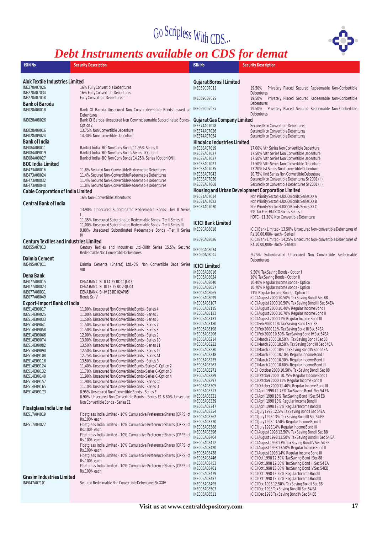

## *Debt Instruments available on CDS for demat*

| <b>ISIN No</b>                                     | <b>Security Description</b>                                                                                          | <b>ISIN No</b>                            | <b>Security Description</b>                                                                                  |
|----------------------------------------------------|----------------------------------------------------------------------------------------------------------------------|-------------------------------------------|--------------------------------------------------------------------------------------------------------------|
|                                                    |                                                                                                                      |                                           |                                                                                                              |
| Alok Textile Industries Limited                    |                                                                                                                      | <b>Gujarat Borosil Limited</b>            |                                                                                                              |
| INE270A07026                                       | 16% Fully Convertible Debentures                                                                                     | INE059C07011                              | 19.50% Privately Placed Secured Redeemable Non-Conbertible                                                   |
| INE270A07034                                       | 16% Fully Convertible Debentures                                                                                     |                                           | Debentures                                                                                                   |
| INE270A07018                                       | Fully Convertible Debentures                                                                                         | INE059C07029                              | 19.50% Privately Placed Secured Redeemable Non-Conbertible<br>Debentures                                     |
| Bank of Baroda<br>INE028A08018                     | Bank Of Baroda-Unsecured Non Conv redeemable Bonds issued as                                                         | INE059C07037                              | 19.50% Privately Placed Secured Redeemable Non-Conbertible                                                   |
|                                                    | Debentures                                                                                                           |                                           | Debentures                                                                                                   |
| INE028A08026                                       | Bank Of Baroda-Unsecured Non Conv redeemable Subordinated Bonds-                                                     | Gujarat Gas Company Limited               |                                                                                                              |
|                                                    | Option 2                                                                                                             | INE374A07018                              | Secured Non Convertible Debentures                                                                           |
| INE028A09016<br>INE028A09024                       | 13.75% Non Convertible Debenture<br>14.30% Non Convertible Debenture                                                 | INE374A07026<br>INE374A07034              | Secured Non Convertible Debentures<br>Secured Non Convertible Debentures                                     |
| Bank of India                                      |                                                                                                                      | Hindalco Industries Limited               |                                                                                                              |
| INE084A08011                                       | Bank of India-BOI Non Conv Bonds 11.95% Series II                                                                    | INE038A07019                              | 17.00% Vth Series Non Convertible Debenture                                                                  |
| INE084A09019                                       | Bank of India-BOI Non Conv Bonds Series-I Option-I                                                                   | INE038A07027                              | 17.50% VIth Series Non Convertible Debenture                                                                 |
| INE084A09027                                       | Bank of India - BOI Non Conv Bonds 14.25% Series I OptionION II                                                      | INE038A07027                              | 17.50% VIth Series Non Convertible Debenture                                                                 |
| BOC India Limited<br>INE473A08016                  | 11.8% Secured Non-Convertible Redeemable Debentures                                                                  | INE038A07027<br>INE038A07035              | 17.50% VIth Series Non Convertible Debenture<br>13.20% Ist Series Non Convertible Debenture                  |
| INE473A08024                                       | 11.4% Secured Non-Convertible Redeemable Debentures                                                                  | INE038A07043                              | 10.75% IInd Series Non Convertible Debenture                                                                 |
| INE473A08032                                       | 11.4% Secured Non-Convertible Redeemable Debentures                                                                  | INE038A07050                              | Secured Non Convertible Debentures Sr 2001 (II)                                                              |
| INE473A08040                                       | 11.8% Secured Non-Convertible Redeemable Debentures                                                                  | INE038A07068                              | Secured Non Convertible Debentures Sr 2001 (II)                                                              |
| Cable Corporation of India Limited                 |                                                                                                                      | INE031A07014                              | Housing and Urban Development Corporation Limited<br>Non Priority Sector HUDCO Bonds Series XX A             |
|                                                    | 16% Non-Convertible Debentures                                                                                       | INE031A07022                              | Non Priority Sector HUDCO Bonds Series XX B                                                                  |
| Central Bank of India                              | 13.90% Unsecured Subordinated Redeemable Bonds - Tier II Series                                                      | INE031A07030                              | Non Priority Sector HUDCO Bonds Series XX C                                                                  |
|                                                    |                                                                                                                      |                                           | 9% Tax Free HUDCO Bonds Series II                                                                            |
|                                                    | 11.35% Unsecured Subordinated Redeemable Bonds - Tier II Series II                                                   |                                           | HDFC - 11.30% Non Convertible Debenture                                                                      |
|                                                    | 11.00% Unsecured Subordinated Redeemable Bonds - Tier II Series III                                                  | <b>ICICI Bank Limited</b><br>INE090A08018 | ICICI Bank Limited - 13.50% Unsecured Non-convertible Debentures of                                          |
|                                                    | 9.80% Unsecured Subordinated Redeemable Bonds - Tier II Series<br>IV                                                 |                                           | Rs.10.00.000/-each - Series I                                                                                |
| Century Textiles and Industries Limited            |                                                                                                                      | <b>INE090A08026</b>                       | ICICI Bank Limited - 14.25% Unsecured Non-convertible Debentures of                                          |
| INE055A07013                                       | Century Textiles and Industries Ltd.-XIIth Series 15.5% Secured                                                      | INE090A08034                              | Rs.10,00,000/-each - Series II                                                                               |
|                                                    | Redeemable Non Convertible Debentures                                                                                | INE090A08042                              | 9.75% Subordinated Unsecured Non Convertible Redeemable                                                      |
| Dalmia Cement                                      |                                                                                                                      |                                           | Debenturees                                                                                                  |
| INE495A07011                                       | Dalmia Cements (Bharat) Ltd.-6% Non Convertible Debs Series<br>VIII                                                  | <b>ICICI Limited</b>                      |                                                                                                              |
| Dena Bank                                          |                                                                                                                      | INE005A08016                              | 9.50% Tax Saving Bonds - Option I                                                                            |
| INE077A08015                                       | DENA BANK - Sr-II 14.25 BD 11JU03                                                                                    | INE005A08024<br>INE005A08040              | 10% Tax Saving Bonds - Option II<br>10.40% Regular Income Bonds - Option I                                   |
| INE077A08023                                       | DENA BANK - Sr-III 13.75 BD 23JU04                                                                                   | <b>INE005A08057</b>                       | 10.70% Regular Income Bonds - Option II                                                                      |
| INE077A08031                                       | DENA BANK - Sr-IV 13 BD 02AP05                                                                                       | <b>INE005A08065</b>                       | 11% Regular Income Bonds - Option III                                                                        |
| INE077A08049                                       | Bonds Sr.-V                                                                                                          | INE005A08099<br>INE005A08107              | ICICI August 2000 10.50% Tax Saving Bond I Sec 88<br>ICICI August 2000 10.50% Tax Saving Bond III Sec 54EA   |
| <b>Export-Import Bank of India</b><br>INE514E09017 | 11.00% Unsecured Non Convertible Bonds - Series 4                                                                    | INE005A08115                              | ICICI August 2000 10.40% Regular Income Bond I                                                               |
| INE514E09025                                       | 11.00% Unsecured Non Convertible Bonds - Series 5                                                                    | INE005A08123                              | ICICI August 2000 10.70% Regular Income Bond II                                                              |
| INE514E09033                                       | 11.50% Unsecured Non Convertible Bonds - Series 6                                                                    | INE005A08131                              | ICICI August 2000 11% Regular Income Bond III                                                                |
| INE514E09041<br>INE514E09058                       | 11.50% Unsecured Non Convertible Bonds - Series 7<br>11.50% Unsecured Non Convertible Bonds - Series 8               | INE005A08180<br>INE005A08198              | ICICI Feb 2000 11% Tax Saving Bond I Sec 88<br>ICICI Feb 2000 11% Tax Saving Bond III Sec 54EA               |
| INE514E09066                                       | 12.00% Unsecured Non Convertible Bonds - Series 9                                                                    | INE005A08206                              | ICICI Feb 2000 10.50% Tax Saving Bond IV Sec 54EA                                                            |
| INE514E09074                                       | 13.00% Unsecured Non Convertible Bonds - Series 10                                                                   | INE005A08214                              | ICICI March 2000 10.50% Tax Saving Bond I Sec 88                                                             |
| INE514E09082                                       | 13.50% Unsecured Non Convertible Bonds - Series 11                                                                   | INE005A08222<br>INE005A08230              | ICICI March 2000 10.50% Tax Saving Bond III Sec 54EA<br>ICICI March 2000 10% Tax Saving Bond IV Sec 54EA     |
| INE514E09090<br>INE514E09108                       | 12.50% Unsecured Non Convertible Bonds - Series 12<br>12.75% Unsecured Non Convertible Bonds - Series A1             | INE005A08248                              | ICICI March 2000 10.10% Regular Income Bond I                                                                |
| INE514E09116                                       | 13.50% Unsecured Non Convertible Bonds - Series B                                                                    | <b>INE005A08255</b>                       | ICICI March 2000 10.30% Regular Income Bond II                                                               |
| INE514E09124                                       | 11.40% Unsecured Non Convertible Bonds-Series C-Option 2                                                             | INE005A08263                              | ICICI March 2000 10.60% Regular Income Bond III                                                              |
| INE514E09132<br>INE514E09140                       | 11.70% Unsecured Non Convertible Bonds-Series C-Option 3<br>11.90% Unsecured Non Convertible Bonds-Series C-Option 4 | INE005A08271<br>INE005A08289              | ICICI October 2000 10.50% Tax Saving Bond I Sec 88<br>ICICI October 2000 10.75% Regular Income Bond I        |
| INE514E09157                                       | 11.90% Unsecured Non Convertible Bonds - Series C1                                                                   | <b>INE005A08297</b>                       | ICICI October 2000 11% Regular Income Bond II                                                                |
| INE514E09165                                       | 11.10% Unsecured Non Convertible Bonds - Series D                                                                    | <b>INE005A08305</b>                       | ICICI October 2000 11.40% Regular Income Bond III                                                            |
| INE514E09173                                       | 8.95% Unsecured Non Convertible Bonds - Series E                                                                     | INE005A08313<br>INE005A08321              | ICICI April 1998 12.75% Tax Saving Bond I Sec 54 EA<br>ICICI April 1998 13% Tax Saving Bond II Sec 54 EB     |
|                                                    | 8.90% Unsecured Non Convertible Bonds - Series E1 8.80% Unsecured<br>Non Convertible Bonds - Series E1               | INE005A08339                              | ICICI April 1998 13% Regular Income Bond II                                                                  |
| Floatglass India Limited                           |                                                                                                                      | <b>INE005A08347</b>                       | ICICI April 1998 13.5% Regular Income Bond III                                                               |
| INE517A04019                                       | Floatglass India Limited - 10% Cumulative Preference Shares (CRPS) of                                                | INE005A08354<br>INE005A08362              | ICICI July 1998 12.5% Tax Saving Bond I Sec 54EA<br>ICICI July 1998 13% Tax Saving Bond III Sec 54 EB        |
|                                                    | Rs.100/-each                                                                                                         | INE005A08370                              | ICICI July 1998 13.50% Regular Income Bond II                                                                |
| INE517A04027                                       | Floatglass India Limited - 10% Cumulative Preference Shares (CRPS) of<br>Rs.100/-each                                | <b>INE005A08388</b>                       | ICICI July 1998 14% Regular Income Bond III                                                                  |
|                                                    | Floatglass India Limited - 10% Cumulative Preference Shares (CRPS) of                                                | INE005A08396<br><b>INE005A08404</b>       | ICICI August 1998 12.50% Tax Saving Bond I Sec 88                                                            |
|                                                    | Rs.100/-each                                                                                                         | INE005A08412                              | ICICI August 1998 12.50% Tax Saving Bond III Sec 54 EA<br>ICICI August 1998 13% Tax Saving Bond IV Sec 54 EB |
|                                                    | Floatglass India Limited - 10% Cumulative Preference Shares (CRPS) of<br>Rs.100/-each                                | <b>INE005A08420</b>                       | ICICI August 1998 13.50% Regular Income Bond II                                                              |
|                                                    | Floatglass India Limited - 10% Cumulative Preference Shares (CRPS) of                                                | INE005A08438                              | ICICI August 1998 14% Regular Income Bond III                                                                |
|                                                    | Rs.100/-each                                                                                                         | <b>INE005A08446</b><br>INE005A08453       | ICICI Oct 1998 12.50% Tax Saving Bond I Sec 88<br>ICICI Oct 1998 12.50% Tax Saving Bond III Sec 54 EA        |
|                                                    | Floatglass India Limited - 10% Cumulative Preference Shares (CRPS) of                                                | <b>INE005A08461</b>                       | ICICI Oct 1998 13.00% Tax Saving Bond IV Sec 54EB                                                            |
| <b>Grasim Industries Limited</b>                   | Rs.100/-each                                                                                                         | INE005A08479                              | ICICI Oct 1998 13.25% Regular Income Bond II                                                                 |
| INE047A07101                                       | Secured Redeemable Non Convertible Debentures Sr.XXIV                                                                | <b>INE005A08487</b>                       | ICICI Oct 1998 13.75% Regular Income Bond III                                                                |
|                                                    |                                                                                                                      | INE005A08495<br>INE005A08503              | ICICI Dec 1998 12.50% Tax Saving Bond I Sec 88<br>ICICI Dec 1998 Tax Saving Bond III Sec 54 EA               |
|                                                    |                                                                                                                      | INE005A08511                              | ICICI Dec 1998 Tax Saving Bond IV Sec 54 EB                                                                  |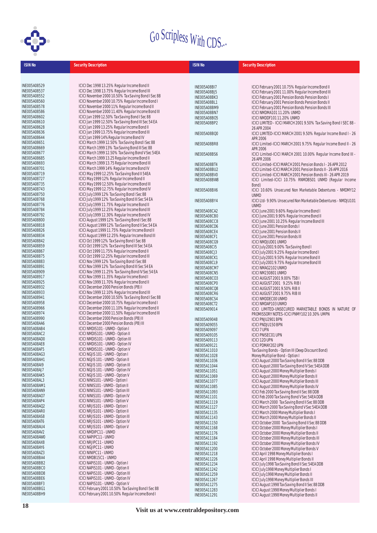

| <b>ISIN No</b>                             | <b>Security Description</b>                                                                           | <b>ISIN No</b>               | <b>Security Description</b>                                                                   |
|--------------------------------------------|-------------------------------------------------------------------------------------------------------|------------------------------|-----------------------------------------------------------------------------------------------|
|                                            |                                                                                                       |                              |                                                                                               |
|                                            |                                                                                                       |                              |                                                                                               |
| <b>INE005A08529</b>                        | ICICI Dec 1998 13.25% Regular Income Bond II                                                          | INE005A08BI7                 | ICICI February 2001 10.75% Regular Income Bond II                                             |
| <b>INE005A08537</b>                        | ICICI Dec 1998 13.75% Regular Income Bond III                                                         | INE005A08BJ5                 | ICICI February 2001 11.00% Regular Income Bond III                                            |
| <b>INE005A08552</b>                        | ICICI November 2000 10.50% Tax Saving Bond I Sec 88                                                   | INE005A08BK3                 | ICICI February 2001 Pension Bonds Pension Bonds I                                             |
| <b>INE005A08560</b>                        | ICICI November 2000 10.75% Regular Income Bond I                                                      | INE005A08BL1                 | ICICI February 2001 Pension Bonds Pension Bonds II                                            |
| INE005A08578                               | ICICI November 2000 11% Regular Income Bond II                                                        | INE005A08BM9                 | ICICI February 2001 Pension Bonds Pension Bonds III                                           |
| INE005A08586                               | ICICI November 2000 11.40% Regular Income Bond III                                                    | INE005A08BN7                 | ICICI NMDMA10111.20% UNMD                                                                     |
| INE005A08602<br><b>INE005A08610</b>        | ICICI Jan 1999 12.50% Tax Saving Bond I Sec 88<br>ICICI Jan 1999 12.50% Tax Saving Bond III Sec 54 EA | <b>INE005A08B05</b>          | ICICI NMDDF101 11.20% UNMD                                                                    |
| <b>INE005A08628</b>                        | ICICI Jan 1999 13.25% Regular Income Bond II                                                          | INE005A08BP2                 | ICICI LIMITED - ICICI MARCH 2001 9.50% Tax Saving Bond I SEC 88 -                             |
| INE005A08636                               | ICICI Jan 1999 13.75% Regular Income Bond III                                                         | INE005A08BQ0                 | 26 APR 2004<br>ICICI LIMITED-ICICI MARCH 2001 9.50% Regular Income Bond I - 26                |
| <b>INE005A08644</b>                        | ICICI Jan 1999 14% Regular Income Bond IV                                                             |                              | APR 2006                                                                                      |
| <b>INE005A08651</b>                        | ICICI March 1999 12.50% Tax Saving Bond I Sec 88                                                      | INE005A08BR8                 | ICICI Limited-ICICI MARCH 2001 9.75% Regular Income Bond II - 26                              |
| <b>INE005A08669</b>                        | ICICI March 1999 13% Tax Saving Bond III Sec 88                                                       |                              | APR 2006                                                                                      |
| <b>INE005A08677</b>                        | ICICI March 1999 12.50% Tax Saving Bond V Sec 54EA                                                    | INE005A08BS6                 | ICICI Limited-ICICI MARCH 2001 10.00% Regular Income Bond III -                               |
| INE005A08685                               | ICICI March 1999 13.25 Regular Income Bond II                                                         |                              | 26 APR 2006                                                                                   |
| INE005A08693<br><b>INE005A08701</b>        | ICICI March 1999 13.75 Regular Income Bond III<br>ICICI March 1999 14% Regular Income Bond IV         | INE005A08BT4                 | ICICI Limited-ICICI MARCH 2001 Pension Bonds I - 26 APR 2012                                  |
| INE005A08719                               | ICICI May 1999 12.25% Tax Saving Bond II 54EA                                                         | INE005A08BU2                 | ICICI Limited-ICICI MARCH 2001 Pension Bonds II - 26 APR 2016                                 |
| <b>INE005A08727</b>                        | ICICI May 1999 12% Regular Income Bond II                                                             | INE005A08BV0                 | ICICI Limited-ICICI MARCH 2001 Pension Bonds III - 26 APR 2019                                |
| INE005A08735                               | ICICI May 1999 12.50% Regular Income Bond III                                                         | INE005A08BW8                 | ICICI Limited-ICICI 10.75% RNMDBS01 UNMD (Regular Income<br>Bond)                             |
| INE005A08743                               | ICICI May 1999 12.75% Regular Income Bond IV                                                          | INE005A08BX6                 | ICICI 10.60% Unsecured Non Marketable Debentures - NMDMY12                                    |
| INE005A08750                               | ICICI July 1999 12% Tax Saving Bond I Sec 88                                                          |                              | <b>UNMD</b>                                                                                   |
| <b>INE005A08768</b>                        | ICICI July 1999 12% Tax Saving Bond III Sec 54 EA                                                     | INE005A08BY4                 | ICICI Ltd-9.90% Unsecured Non Marketable Debentures - NMDJU101                                |
| INE005A08776                               | ICICI July 1999 11.75% Regular Income Bond II                                                         |                              | <b>UNMD</b>                                                                                   |
| <b>INE005A08784</b>                        | ICICI July 1999 12.25% Regular Income Bond III                                                        | INE005A08CA2                 | ICICI June 2001 9.60% Regular Income Bond I                                                   |
| <b>INE005A08792</b>                        | ICICI July 1999 12.30% Regular Income Bond IV                                                         | INE005A08CB0                 | ICICI June 2001 9.90% Regular Income Bond II                                                  |
| <b>INE005A08800</b><br><b>INE005A08818</b> | ICICI August 1999 12% Tax Saving Bond I Sec 88<br>ICICI August 1999 12% Tax Saving Bond II Sec 54 EA  | INE005A08CC8                 | ICICI June 2001 10.25% Regular Income Bond III                                                |
| <b>INE005A08826</b>                        | ICICI August 1999 11.75% Regular Income Bond II                                                       | INE005A08CD6                 | ICICI June 2001 Pension Bonds I                                                               |
| INE005A08834                               | ICICI August 1999 12.25% Regular Income Bond III                                                      | INE005A08CE4<br>INE005A08CF1 | ICICI June 2001 Pension Bonds II<br>ICICI June 2001 Pension Bonds III                         |
| <b>INE005A08842</b>                        | ICICI Oct 1999 12% Tax Saving Bond I Sec 88                                                           | INE005A08CG9                 | ICICI NMDJUD01 UNMD                                                                           |
| <b>INE005A08859</b>                        | ICICI Oct 1999 12% Tax Saving Bond III Sec 54 EA                                                      | INE005A08CI5                 | ICICI July 2001 9.00% Tax Saving Bond I                                                       |
| <b>INE005A08867</b>                        | ICICI Oct 1999 11.75% Regular Income Bond II                                                          | INE005A08CJ3                 | ICICI July 2001 9.25% Regular Income Bond I                                                   |
| <b>INE005A08875</b>                        | ICICI Oct 1999 12.25% Regular Income Bond III                                                         | INE005A08CK1                 | ICICI July 2001 9.50% Regular Income Bond II                                                  |
| <b>INE005A08883</b>                        | ICICI Nov 1999 12% Tax Saving Bond I Sec 88                                                           | INE005A08CL9                 | ICICI July 2001 9.75% Regular Income Bond III                                                 |
| <b>INE005A08891</b>                        | ICICI Nov 1999 12% Tax Saving Bond III Sec 54 EA                                                      | INE005A08CM7                 | ICICI NMAG2102 UNMD                                                                           |
| INE005A08909                               | ICICI Nov 1999 11.25% Tax Saving Bond IV Sec 54 EA                                                    | INE005A08CN5                 | ICICI NM230801 UNMD                                                                           |
| INE005A08917<br>INE005A08925               | ICICI Nov 1999 11.35% Regular Income Bond I<br>ICICI Nov 1999 11.70% Regular Income Bond II           | <b>INE005A08CO3</b>          | ICICI AUGUST 2001 9.00% TSB I                                                                 |
| INE005A08932                               | ICICI December 2000 Pension Bonds (PB) I                                                              | INE005A08CP0                 | ICICI AUGUST 2001 9.25% RIB I                                                                 |
| INE005A08933                               | ICICI Nov 1999 12.10% Regular Income Bond III                                                         | INE005A08CQ8<br>INE005A08CR6 | ICICI AUGUST 2001 9.50% RIB II<br>ICICI AUGUST 2001 9.75% RIB III                             |
| INE005A08941                               | ICICI December 2000 10.50% Tax Saving Bond I Sec 88                                                   | INE005A08CS4                 | <b>ICICI NMDDEC00 UNMD</b>                                                                    |
| <b>INE005A08958</b>                        | ICICI December 2000 10.75% Regular Income Bond I                                                      | INE005A08CT2                 | ICICI NMDAP103 UNMD                                                                           |
| INE005A08966                               | ICICI December 2000 11.10% Regular Income Bond II                                                     | INE005A09014                 | ICICI LIMITED-UNSECURED MARKETABLE BONDS IN NATURE OF                                         |
| INE005A08974                               | ICICI December 2000 11.50% Regular Income Bond III                                                    |                              | PROMISSORY NOTES-ICICI PNMY102 10.30% UMPN                                                    |
| <b>INE005A08990</b>                        | ICICI December 2000 Pension Bonds (PB) II                                                             | INE005A09048                 | ICICI PNJU2901 BPN                                                                            |
| INE005A08AA6<br>INE005A08AB4               | ICICI December 2000 Pension Bonds (PB) III                                                            | INE005A09055                 | ICICI PNDJU150 BPN                                                                            |
| INE005A08AC2                               | ICICI NMDIS101 - UNMD - Option I<br>ICICI NMDIS101 - UNMD - Option II                                 | INE005A09097                 | <b>ICICI 7 UPN</b>                                                                            |
| INE005A08AD0                               | ICICI NMDIS101 - UNMD - Option III                                                                    | INE005A09105<br>INE005A09113 | <b>ICICI PNISEC01 UPN</b><br>ICICI 12D UPN                                                    |
| INE005A08AE8                               | ICICI NMDIS101 - UNMD - Option IV                                                                     | INE005A09121                 | ICICI PDMAY202 UPN                                                                            |
| INE005A08AF5                               | ICICI NMDIS101 - UNMD - Option V                                                                      | INE005A11010                 | Tax Saving Bonds - Option III (Deep Discount Bond)                                            |
| INE005A08AG3                               | ICICI NGJIS 101 - UNMD - Option I                                                                     | INE005A11028                 | Money Multiplier Bond - Option I                                                              |
| INE005A08AH1                               | ICICI NGJIS 101 - UNMD - Option II                                                                    | INE005A11036                 | ICICI August 2000 Tax Saving Bond II Sec 88 DDB                                               |
| INE005A08AI9                               | ICICI NGJIS 101 - UNMD - Option III                                                                   | INE005A11044                 | ICICI August 2000 Tax Saving Bond IV Sec 54EA DDB                                             |
| INE005A08AJ7                               | ICICI NGJIS 101 - UNMD - Option IV                                                                    | INE005A11051                 | ICICI August 2000 Money Multiplier Bonds I                                                    |
| INE005A08AK5<br>INE005A08AL3               | ICICI NGJIS 101 - UNMD - Option V<br>ICICI NINIS101 - UNMD - Option I                                 | INE005A11069                 | ICICI August 2000 Money Multiplier Bonds II                                                   |
| INE005A08AM1                               | ICICI NINIS101 - UNMD - Option II                                                                     | INE005A11077                 | ICICI August 2000 Money Multiplier Bonds III                                                  |
| INE005A08AN9                               | ICICI NINIS101 - UNMD - Option III                                                                    | INE005A11085<br>INE005A11093 | ICICI August 2000 Money Multiplier Bonds IV<br>ICICI Feb 2000 Tax Saving Bond II Sec 88 DDB   |
| <b>INE005A08A07</b>                        | ICICI NINIS101 - UNMD - Option IV                                                                     | INE005A11101                 | ICICI Feb 2000 Tax Saving Bond V Sec 54EA DDB                                                 |
| INE005A08AP4                               | ICICI NINIS101 - UNMD - Option V                                                                      | INE005A11119                 | ICICI March 2000 Tax Saving Bond II Sec 88 DDB                                                |
| INE005A08AQ2                               | ICICI NRJIS101 - UNMD - Option I                                                                      | INE005A11127                 | ICICI March 2000 Tax Saving Bond V Sec 54EA DDB                                               |
| INE005A08AR0                               | ICICI NRJIS101 - UNMD - Option II                                                                     | INE005A11135                 | ICICI March 2000 Money Multiplier Bonds I                                                     |
| INE005A08AS8                               | ICICI NRJIS101 - UNMD - Option III                                                                    | INE005A11143                 | ICICI March 2000 Money Multiplier Bonds II                                                    |
| INE005A08AT6                               | ICICI NRJIS101 - UNMD - Option IV                                                                     | INE005A11150                 | ICICI October 2000 Tax Saving Bond II Sec 88 DDB                                              |
| INE005A08AU4<br>INE005A08AV2               | ICICI NRJIS101 - UNMD - Option V<br>ICICI NMDIPC11 - UNMD                                             | INE005A11168                 | ICICI October 2000 Money Multiplier Bonds I                                                   |
| INE005A08AW0                               | ICICI NAPIPC11 - UNMD                                                                                 | INE005A11176                 | ICICI October 2000 Money Multiplier Bonds II                                                  |
| INE005A08AX8                               | ICICI NRJIPC11 - UNMD                                                                                 | INE005A11184<br>INE005A11192 | ICICI October 2000 Money Multiplier Bonds III<br>ICICI October 2000 Money Multiplier Bonds IV |
| INE005A08AY6                               | ICICI NGJIPC11 - UNMD                                                                                 | INE005A11200                 | ICICI October 2000 Money Multiplier Bonds V                                                   |
| INE005A08AZ3                               | ICICI NINIPC11 - UNMD                                                                                 | INE005A11218                 | ICICI April 1998 Money Multiplier Bonds I                                                     |
| INE005A08BA4                               | ICICI NMDB15C1 - UNMD                                                                                 | INE005A11226                 | ICICI April 1998 Money Multiplier Bonds II                                                    |
| INE005A08BB2                               | ICICI NAPIS101 - UNMD - Option I                                                                      | INE005A11234                 | ICICI July 1998 Tax Saving Bond II Sec 54EA DDB                                               |
| INE005A08BC0                               | ICICI NAPIS101 - UNMD - Option II                                                                     | INE005A11242                 | ICICI July 1998 Money Multiplier Bonds I                                                      |
| INE005A08BD8<br>INE005A08BE6               | ICICI NAPIS101 - UNMD - Option III<br>ICICI NAPIS101 - UNMD - Option IV                               | INE005A11259                 | ICICI July 1998 Money Multiplier Bonds II                                                     |
| INE005A08BF3                               | ICICI NAPIS101 - UNMD - Option V                                                                      | INE005A11267<br>INE005A11275 | ICICI July 1998 Money Multiplier Bonds III<br>ICICI August 1998 Tax Saving Bond II Sec 88 DDB |
| INE005A08BG1                               | ICICI February 2001 10.50% Tax Saving Bond I Sec 88                                                   | INE005A11283                 | ICICI August 1998 Money Multiplier Bonds I                                                    |

INE005A11291 ICICI August 1998 Money Multiplier Bonds II

INE005A08BH9 ICICI February 2001 10.50% Regular Income Bond I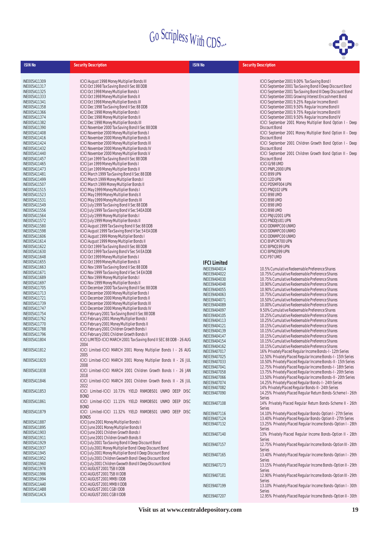

| <b>ISIN No</b>      | <b>Security Description</b>                                           | <b>ISIN No</b>               | <b>Security Description</b>                                                                                                  |
|---------------------|-----------------------------------------------------------------------|------------------------------|------------------------------------------------------------------------------------------------------------------------------|
|                     |                                                                       |                              |                                                                                                                              |
| INE005A11309        | ICICI August 1998 Money Multiplier Bonds III                          |                              | ICICI September 2001 9.00% Tax Saving Bond I                                                                                 |
| INE005A11317        | ICICI Oct 1998 Tax Saving Bond II Sec 88 DDB                          |                              | ICICI September 2001 Tax Saving Bond II Deep Discount Bond                                                                   |
| INE005A11325        | ICICI Oct 1998 Money Multiplier Bonds I                               |                              | ICICI September 2001 Tax Saving Bond III Deep Discount Bond                                                                  |
| INE005A11333        | ICICI Oct 1998 Money Multiplier Bonds II                              |                              | ICICI September 2001 Growing Interest Encashment Bond                                                                        |
| INE005A11341        | ICICI Oct 1998 Money Multiplier Bonds III                             |                              | ICICI September 2001 9.25% Regular Income Bond I                                                                             |
| INE005A11358        | ICICI Dec 1998 Tax Saving Bond II Sec 88 DDB                          |                              | ICICI September 2001 9.50% Regular Income Bond II                                                                            |
| INE005A11366        | ICICI Dec 1998 Money Multiplier Bonds I                               |                              | ICICI September 2001 9.75% Regular Income Bond III                                                                           |
| INE005A11374        | ICICI Dec 1998 Money Multiplier Bonds II                              |                              | ICICI September 2001 9.50% Regular Income Bond IV                                                                            |
| INE005A11382        | ICICI Dec 1998 Money Multiplier Bonds III                             |                              | ICICI September 2001 Money Multiplier Bond Option I - Deep                                                                   |
| INE005A11390        | ICICI November 2000 Tax Saving Bond II Sec 88 DDB                     |                              | Discount Bond                                                                                                                |
| INE005A11408        | ICICI November 2000 Money Multiplier Bonds I                          |                              | ICICI September 2001 Money Multiplier Bond Option II - Deep                                                                  |
| INE005A11416        | ICICI November 2000 Money Multiplier Bonds II                         |                              | Discount Bond                                                                                                                |
| INE005A11424        | ICICI November 2000 Money Multiplier Bonds III                        |                              | ICICI September 2001 Children Growth Bond Option I - Deep                                                                    |
| INE005A11432        | ICICI November 2000 Money Multiplier Bonds IV                         |                              | Discount Bond                                                                                                                |
| INE005A11440        | ICICI November 2000 Money Multiplier Bonds V                          |                              | ICICI September 2001 Children Growth Bond Option II - Deep                                                                   |
| INE005A11457        | ICICI Jan 1999 Tax Saving Bond II Sec 88 DDB                          |                              | Discount Bond                                                                                                                |
| INE005A11465        | ICICI Jan 1999 Money Multiplier Bonds I                               |                              | ICICI G/98 UMD                                                                                                               |
| INE005A11473        | ICICI Jan 1999 Money Multiplier Bonds II                              |                              | ICICI PNPL2000 UPN                                                                                                           |
| INE005A11481        | ICICI March 1999 Tax Saving Bond II Sec 88 DDB                        |                              | <b>ICICIB99 UPN</b>                                                                                                          |
| INE005A11499        | ICICI March 1999 Money Multiplier Bonds I                             |                              | ICICI 12D UPN                                                                                                                |
| INE005A11507        | ICICI March 1999 Money Multiplier Bonds II                            |                              | <b>ICICIPDSMF004 UPN</b>                                                                                                     |
| INE005A11515        | ICICI May 1999 Money Multiplier Bonds I                               |                              | ICICI PNQ102 UPN                                                                                                             |
| INE005A11523        | ICICI May 1999 Money Multiplier Bonds II                              |                              | <b>ICICIB98 UMD</b>                                                                                                          |
| INE005A11531        | ICICI May 1999 Money Multiplier Bonds III                             |                              | <b>ICICI B98 UMD</b>                                                                                                         |
| INE005A11549        | ICICI July 1999 Tax Saving Bond II Sec 88 DDB                         |                              | <b>ICICIB98 UMD</b>                                                                                                          |
| INE005A11556        | ICICI July 1999 Tax Saving Bond V Sec 54EA DDB                        |                              | <b>ICICIB98 UMD</b>                                                                                                          |
| <b>INE005A11564</b> | ICICI July 1999 Money Multiplier Bonds I                              |                              | ICICI PNJU2001 UPN                                                                                                           |
| INE005A11572        | ICICI July 1999 Money Multiplier Bonds II                             |                              | <b>ICICIPNDDJU01 UPN</b>                                                                                                     |
| INE005A11580        | ICICI August 1999 Tax Saving Bond II Sec 88 DDB                       |                              | <b>ICICI DDNMPC00 UNMD</b>                                                                                                   |
| INE005A11598        | ICICI August 1999 Tax Saving Bond V Sec 54 EA DDB                     |                              | <b>ICICI DDNMPC00 UNMD</b>                                                                                                   |
| INE005A11606        | ICICI August 1999 Money Multiplier Bonds I                            |                              | <b>ICICI DDNMPC00 UNMD</b>                                                                                                   |
| INE005A11614        | ICICI August 1999 Money Multiplier Bonds II                           |                              | <b>ICICI BVPCM700 UPN</b>                                                                                                    |
| INE005A11622        | ICICI Oct 1999 Tax Saving Bond II Sec 88 DDB                          |                              | ICICI BPNQ199 UPN                                                                                                            |
| INE005A11630        | ICICI Oct 1999 Tax Saving Bond V Sec 54 EA DDB                        |                              | ICICI BPNQ399 UPN                                                                                                            |
| INE005A11648        | ICICI Oct 1999 Money Multiplier Bonds I                               |                              | ICICIF97 UMD                                                                                                                 |
| INE005A11655        | ICICI Oct 1999 Money Multiplier Bonds II                              | <b>IFCI Limited</b>          |                                                                                                                              |
| INE005A11663        | ICICI Nov 1999 Tax Saving Bond II Sec 88 DDB                          |                              |                                                                                                                              |
| INE005A11671        | ICICI Nov 1999 Tax Saving Bond V Sec 54 EA DDB                        | INE039A04014                 | 10.5% Cumulative Redeemable Preference Shares                                                                                |
| INE005A11689        | ICICI Nov 1999 Money Multiplier Bonds I                               | INE039A04022                 | 10.75% Cumulative Redeemable Preference Shares                                                                               |
| INE005A11697        | ICICI Nov 1999 Money Multiplier Bonds II                              | INE039A04030                 | 10.75% Cumulative Redeemable Preference Shares                                                                               |
| INE005A11705        | ICICI December 2000 Tax Saving Bond II Sec 88 DDB                     | INE039A04048                 | 10.90% Cumulative Redeemable Preference Shares                                                                               |
| INE005A11713        | ICICI December 2000 Money Multiplier Bonds I                          | INE039A04055                 | 10.90% Cumulative Redeemable Preference Shares                                                                               |
| INE005A11721        | ICICI December 2000 Money Multiplier Bonds II                         | INE039A04063                 | 10.75% Cumulative Redeemable Preference Shares                                                                               |
| INE005A11739        | ICICI December 2000 Money Multiplier Bonds III                        | INE039A04071                 | 10.50% Cumulative Redeemable Preference Shares                                                                               |
| <b>INE005A11747</b> | ICICI December 2000 Money Multiplier Bonds IV                         | INE039A04089                 | 10.00% Cumulative Redeemable Preference Shares                                                                               |
| INE005A11754        | ICICI February 2001 Tax Saving Bond II Sec 88 DDB                     | INE039A04097                 | 9.50% Cumulative Redeemable Preference Shares                                                                                |
| INE005A11762        | ICICI February 2001 Money Multiplier Bonds I                          | INE039A04105                 | 10.25% Cumulative Redeemable Preference Shares                                                                               |
| INE005A11770        | ICICI February 2001 Money Multiplier Bonds II                         | INE039A04113                 | 10.25% Cumulative Redeemable Preference Shares                                                                               |
| INE005A11788        | ICICI February 2001 Children Growth Bonds I                           | INE039A04121                 | 10.15% Cumulative Redeemable Preference Shares                                                                               |
| INE005A11796        | ICICI February 2001 Children Growth Bonds II                          | INE039A04139                 | 10.15% Cumulative Redeemable Preference Shares                                                                               |
| INE005A11804        | ICICI LIMITED-ICICI MARCH 2001 Tax Saving Bond II SEC 88 DDB - 26 AUG | INE039A04147                 | 10.15% Cumulative Redeemable Preference Shares                                                                               |
|                     | 2004                                                                  | INE039A04154                 | 10.15% Cumulative Redeemable Preference Shares                                                                               |
| INE005A11812        | ICICI Limited-ICICI MARCH 2001 Money Multiplier Bonds I - 26 AUG      | INE039A04162                 | 10.15% Cumulative Redeemable Preference Shares                                                                               |
|                     | 2005                                                                  | INE039A07017                 | 16% Privately Placed Regular Income Bonds-I - 12th Series                                                                    |
| INE005A11820        | ICICI Limited-ICICI MARCH 2001 Money Multiplier Bonds II - 26 JUL     | INE039A07025                 | 12.50% Privately Placed Regular Income Bonds-I - 15th Series                                                                 |
|                     | 2008                                                                  | INE039A07033<br>INE039A07041 | 10.50% Privately Placed Regular Income Bonds-II - 15th Series                                                                |
| INE005A11838        | ICICI Limited-ICICI MARCH 2001 Children Growth Bonds I - 26 JAN       | INE039A07058                 | 12.75% Privately Placed Regular Income Bonds-I - 18th Series<br>13.75% Privately Placed Regular Income Bonds-I - 20th Series |
|                     | 2018                                                                  | INE039A07066                 |                                                                                                                              |
| INE005A11846        | ICICI Limited-ICICI MARCH 2001 Children Growth Bonds II - 26 JUL      |                              | 13.50% Privately Placed Regular Income Bonds-II - 20th Series                                                                |
|                     | 2022                                                                  | INE039A07074                 | 14.25% Privately Placed Regular Bonds-I - 24th Series<br>14% Privately Placed Regular Bonds-II - 24th Series                 |
| INE005A11853        | ICICI Limited-ICICI 10.73% YIELD RNMDBS01 UNMD DEEP DISC              | INE039A07082<br>INE039A07090 |                                                                                                                              |
|                     | <b>BOND</b>                                                           |                              | 14.25% Privately Placed Regular Return Bonds-Scheme I - 26th                                                                 |
| INE005A11861        | ICICI Limited-ICICI 11.15% YIELD RNMDBS01 UNMD DEEP DISC              | INE039A07108                 | Series                                                                                                                       |
|                     | <b>BOND</b>                                                           |                              | 14% Privately Placed Regular Return Bonds-Scheme II - 26th                                                                   |
| INE005A11879        | ICICI Limited-ICICI 11.32% YIELD RNMDBS01 UNMD DEEP DISC              |                              | Series<br>14.10% Privately Placed Regular Bonds-Option I - 27th Series                                                       |
|                     | <b>BONDS</b>                                                          | INE039A07116                 |                                                                                                                              |
| INE005A11887        | ICICI June 2001 Money Multiplier Bonds I                              | INE039A07124<br>INE039A07132 | 13.40% Privately Placed Regular Bonds-Option II - 27th Series                                                                |
| INE005A11895        | ICICI June 2001 Money Multiplier Bonds II                             |                              | 13.25% Privately Placed Regular Income Bonds-Option I - 28th                                                                 |
| INE005A11903        | ICICI June 2001 Children Growth Bonds I                               | INE039A07140                 | Series<br>13% Privately Placed Regular Income Bonds-Option II - 28th                                                         |
| INE005A11911        | ICICI June 2001 Children Growth Bonds II                              |                              | Series                                                                                                                       |
| INE005A11929        | ICICI July 2001 Tax Saving Bond II Deep Discount Bond                 |                              |                                                                                                                              |
| INE005A11937        | ICICI July 2001 Money Multiplier Bond I Deep Discount Bond            | INE039A07157                 | 12.75% Privately Placed Regular Income Bonds-Option III - 28th                                                               |
| INE005A11945        | ICICI July 2001 Money Multiplier Bond II Deep Discount Bond           |                              | Series                                                                                                                       |
| INE005A11952        | ICICI July 2001 Children Gwowth Bond I Deep Discount Bond             | INE039A07165                 | 13.40% Privately Placed Regular Income Bonds-Option I - 29th<br>Series                                                       |
| INE005A11960        | ICICI July 2001 Children Gwowth Bond II Deep Discount Bond            | INE039A07173                 |                                                                                                                              |
| INE005A11978        | ICICI AUGUST 2001 TSB II DDB                                          |                              | 13.15% Privately Placed Regular Income Bonds-Option II - 29th                                                                |
| INE005A11986        | <b>ICICI AUGUST 2001 TSB III DDB</b>                                  |                              | Series                                                                                                                       |
| INE005A11994        | ICICI AUGUST 2001 MMB I DDB                                           | INE039A07181                 | 12.90% Privately Placed Regular Income Bonds-Option III - 29th                                                               |
| INE005A11AA0        | ICICI AUGUST 2001 MMB II DDB                                          |                              | Series                                                                                                                       |
| INE005A11AB8        | ICICI AUGUST 2001 CGB I DDB                                           | INE039A07199                 | 13.10% Privately Placed Regular Income Bonds-Option I - 30th<br>Series                                                       |
| INE005A11AC6        | ICICI AUGUST 2001 CGB II DDB                                          | INE039A07207                 | 12.95% Privately Placed Regular Income Bonds-Option II - 30th                                                                |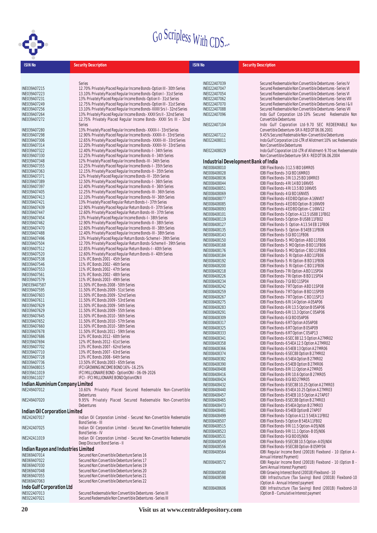

| <b>ISIN No</b>                      | <b>Security Description</b>                                                                   | <b>ISIN No</b>               | <b>Security Description</b>                                                             |
|-------------------------------------|-----------------------------------------------------------------------------------------------|------------------------------|-----------------------------------------------------------------------------------------|
|                                     |                                                                                               |                              |                                                                                         |
|                                     | Series                                                                                        | INE022A07039                 | Secured Redeemable Non Convertible Debentures - Series IV                               |
| INE039A07215                        | 12.70% Privately Placed Regular Income Bonds-Option III - 30th Series                         | INE022A07047                 | Secured Redeemable Non Convertible Debentures - Series VI                               |
| INE039A07223                        | 13.10% Privately Placed Regular Income Bonds-Option I - 31st Series                           | INE022A07054                 | Secured Redeemable Non Convertible Debentures - Series VI                               |
| INE039A07231                        | 13% Privately Placed Regular Income Bonds-Option II - 31st Series                             | INE022A07062                 | Secured Redeemable Non Convertible Debentures - Series VIII                             |
| INE039A07249                        | 12.75% Privately Placed Regular Income Bonds-Option III - 31st Series                         | INE022A07070                 | Secured Redeemable Non Convertible Debentures-Series   & II                             |
| INE039A07256                        | 13.10% Privately Placed Regular Income Bonds-XXXII Srs I - 32nd Series                        | INE022A07088                 | Secured Redeemable Non Convertible Debentures - Series VII                              |
| INE039A07264                        | 13% Privately Placed Regular Income Bonds-XXXII Srs II - 32nd Series                          | INE022A07096                 | Indo Gulf Corporation Ltd-10% Secured Redeemable Non                                    |
| INE039A07272                        | 12.75% Privately Placed Regular Income Bonds- XXXII Srs III - 32nd                            |                              | Convertible Debentures                                                                  |
|                                     | Series                                                                                        | INE022A07104                 | Indo Gulf Coporation Ltd-9.70 SEC REDEEMABLE Non                                        |
| INE039A07280                        | 13% Privately Placed Regular Income Bonds-XXXIII-I-33rd Series                                |                              | Convertible Debenture-SRX-RED DT 06.06.2001                                             |
| INE039A07298                        | 12.90% Privately Placed Regular Income Bonds-XXXIII-II - 33rd Series                          | INE022A07112                 | 9.45% Secured Redemable Non-Convertible Debentures                                      |
| INE039A07306                        | 12.65% Privately Placed Regular Income Bonds-XXXIII-III - 33rd Series                         | INE022A08011                 | Indo Gulf Corporation Ltd-LTR of Allotment 10% sec Redeemable                           |
| INE039A07314                        | 12.20% Privately Placed Regular Income Bonds-XXXIII-IV - 33rd Series                          |                              | Non Convertible Debentures                                                              |
| INE039A07322                        | 12.40% Privately Placed Regular Income Bonds-I - 34th Series                                  | INE022A08029                 | Indo Gulf Coporation Ltd-LTR of Allotment-9.70 sec Redeemable                           |
| INE039A07330                        | 12.25% Privately Placed Regular Income Bonds-II - 34th Series                                 |                              | Non Convertible Debenture-SRX-REDDT06.06.2004                                           |
| INE039A07348                        | 12% Privately Placed Regular Income Bonds-III - 34th Series                                   |                              | Industrial Development Bank of India                                                    |
| INE039A07355                        | 12.25% Privately Placed Regular Income Bonds-I - 35th Series                                  |                              |                                                                                         |
| INE039A07363                        | 12.15% Privately Placed Regular Income Bonds-II - 35th Series                                 | INE008A08010                 | IDBI Flexi Bonds-3 12.5 IBD 16MR05                                                      |
| INE039A07371                        | 12% Privately Placed Regular Income Bonds-III - 35th Series                                   | INE008A08028                 | IDBI Flexi Bonds-3 GI BD 16MR03                                                         |
| INE039A07389                        | 12.50% Privately Placed Regular Income Bonds-I - 36th Series                                  | INE008A08036                 | IDBI Flexi Bonds-3 RI 13.25 BD 16MR03                                                   |
| INE039A07397                        | 12.40% Privately Placed Regular Income Bonds-II - 36th Series                                 | <b>INE008A08044</b>          | IDBI Flexi Bonds-4 RI 14 BD 16NV05                                                      |
| INE039A07405                        | 12.25% Privately Placed Regular Income Bonds-III - 36th Series                                | INE008A08051                 | IDBI Flexi Bonds-4 RI 13.5 BD 16NV05                                                    |
| INE039A07413                        | 12.10% Privately Placed Regular Income Bonds-IV - 36th Series                                 | INE008A08069                 | IDBI Flexi Bonds-4 GI BD 16NV05                                                         |
| INE039A07421                        | 13% Privately Placed Regular Return Bonds-I - 37th Series                                     | INE008A08077                 | IDBI Flexi Bonds-4 ED BD Option-A 16NV07                                                |
| INE039A07439                        | 12.90% Privately Placed Regular Return Bonds-II - 37th Series                                 | <b>INE008A08085</b>          | IDBI Flexi Bonds-4 ED BD Option-B 16NV09                                                |
| INE039A07447                        | 12.60% Privately Placed Regular Return Bonds-III - 37th Series                                | INE008A08093                 | IDBI Flexi Bonds-4 ED BD Option-C 16NV12                                                |
| INE039A07454                        | 13% Privately Placed Regular Income Bonds-I - 38th Series                                     | INE008A08101                 | IDBI Flexi Bonds-5 Option-A12.5 US88 11FB02                                             |
| INE039A07462                        | 12.90% Privately Placed Regular Income Bonds-II - 38th Series                                 | INE008A08119                 | IDBI Flexi Bonds-5 Option-BUS88 11FB02                                                  |
| INE039A07470                        | 12.60% Privately Placed Regular Income Bonds-III - 38th Series                                | INE008A08127                 | IDBI Flexi Bonds-5 Option-A13.54 EB11FB06                                               |
| INE039A07488                        | 12.40% Privately Placed Regular Income Bonds-III - 38th Series                                | INE008A08135                 | IDBI Flexi Bonds-5 Option-B 54EB 11FB06                                                 |
| INE039A07496                        | 13% Privately Placed Regular Return Bonds-Scheme I - 39th Series                              | INE008A08143                 | IDBI Flexi Bonds-5 GI BD 11FB06                                                         |
| INE039A07504                        | 12.70% Privately Placed Regular Return Bonds-Scheme II - 39th Series                          | INE008A08150                 | IDBI Flexi Bonds-5 MO Option-A BD 11FB06                                                |
| INE039A07512                        | 12.85% Privately Placed Regular Return Bonds-I - 40th Series                                  | INE008A08168                 | IDBI Flexi Bonds-5 MO Option-B BD 11FB06                                                |
| INE039A07520                        | 12.60% Privately Placed Regular Return Bonds-II - 40th Series                                 | INE008A08176<br>INE008A08184 | IDBI Flexi Bonds-5 MO Option-C BD 11FB06<br>IDBI Flexi Bonds-5 RI Option-A BD 11FB06    |
| INE039A07538                        | 11% IFC Bonds 2001 - 45th Series                                                              | INE008A08192                 | IDBI Flexi Bonds-5 RI Option-B BD 11FB06                                                |
| INE039A07546                        | 11% IFC Bonds 2002 - 46th Series                                                              | INE008A08200                 | IDBI Flexi Bonds-5 RI Option-C BD 11FB06                                                |
| INE039A07553                        | 11% IFC Bonds 2002 - 47th Series                                                              | INE008A08218                 | IDBI Flexi Bonds-7 RI Option-A BD 11SP04                                                |
| INE039A07561                        | 11% IFC Bonds 2002 - 48th Series                                                              | INE008A08226                 | IDBI Flexi Bonds-7 RI Option-B BD 11SP04                                                |
| INE039A07579                        | 11% IFC Bonds 2003 - 49th Series                                                              | INE008A08234                 | IDBI Flexi Bonds-7 GI BD 11SP04                                                         |
| ]INE039A07587                       | 11.50% IFC Bonds 2008 - 50th Series                                                           | INE008A08242                 | IDBI Flexi Bonds-7 RT Option-A BD 11SP08                                                |
| INE039A07595                        | 11.50% IFC Bonds 2009 - 51st Series                                                           | INE008A08259                 | IDBI Flexi Bonds-7 RT Option-B BD 11SP09                                                |
| INE039A07603                        | 11.50% IFC Bonds 2009 - 52nd Series                                                           | INE008A08267                 | IDBI Flexi Bonds-7 RT Option-C BD 11SP13                                                |
| INE039A07611                        | 11.50% IFC Bonds 2009 - 53rd Series                                                           | INE008A08275                 | IDBI Flexi Bonds-6 RI 14 Option-A 05AP06                                                |
| INE039A07629                        | 11.50% IFC Bonds 2009 - 54th Series                                                           | INE008A08283                 | IDBI Flexi Bonds-6 RI 13.5 Option B 05AP06                                              |
| INE039A07629                        | 11.50% IFC Bonds 2009 - 55th Series                                                           | INE008A08291                 | IDBI Flexi Bonds-6 RI 13.3 Option C 05AP06                                              |
| INE039A07645                        | 11.50% IFC Bonds 2010 - 56th Series                                                           | INE008A08309                 | IDBI Flexi Bonds-6 GI BD 05AP06                                                         |
| INE039A07652                        | 11.50% IFC Bonds 2010 - 57th Series                                                           | INE008A08317                 | IDBI Flexi Bonds-6 RT Option A05AP08                                                    |
| INE039A07660                        | 11.50% IFC Bonds 2010 - 58th Series                                                           | INE008A08325                 | IDBI Flexi Bonds-6 RT Option B 05AP09                                                   |
| INE039A07678                        | 11.50% IFC Bonds 2011 - 59th Series                                                           | INE008A08333                 | IDBI Flexi Bonds-6 RT Option C 05AP13                                                   |
| INE039A07686                        | 12% IFC Bonds 2012 - 60th Series                                                              | INE008A08341                 | IDBI Flexi Bonds-6 SEC 88 12.5 Option A 27MR02                                          |
| INE039A07694                        | 12% IFC Bonds 2012 - 61st Series                                                              | INE008A08358                 | IDBI Flexi Bonds-654EA12.5 Option A27MR02                                               |
| INE039A07702                        | 13% IFC Bonds 2007 - 62nd Series                                                              | INE008A08366                 | IDBI Flexi Bonds-654EB 13 Option A 27MR06                                               |
| INE039A07710                        | 13% IFC Bonds 2007 - 63rd Series                                                              | INE008A08374                 | IDBI Flexi Bonds-6 SEC88 Option B 27MR02                                                |
| INE039A07728                        | 13% IFC Bonds 2008 - 64th Series                                                              | INE008A08382                 | IDBI Flexi Bonds-6 54EA Option B 27MR02                                                 |
| INE039A07736<br>INE039A08015        | 13.50% IFC Bonds 2003 - 65th Series<br>IFCI GROWING INCOME BOND 16%-16.25%                    | INE008A08390                 | IDBI Flexi Bonds-6 54EB Option B 27MR06                                                 |
| INE039A11019                        |                                                                                               | INE008A08408                 | IDBI Flexi Bonds-8 RI 11 Option A 27MR05                                                |
| INE039A11027                        | IFCI MILLIONAIRE BOND - OptionION I - 06-09-2026<br>IFCI - IFCI MILLIONAIRE BOND OptionION II | INE008A08416                 | IDBI Flexi Bonds-8 RI 10.6 Option B 27MR05                                              |
|                                     |                                                                                               | INE008A08424                 | IDBI Flexi Bonds-8 GI BD 27MR05                                                         |
| Indian Aluminium Company Limited    |                                                                                               | INE008A08432                 | IDBI Flexi Bonds-8 SEC88 10.25 Option A 27MR03                                          |
| INE249A07012                        | 10.60% Privately Placed Secured Redeemable Non-Convertible                                    | INE008A08440                 | IDBI Flexi Bonds-8 54EA 10.25 Option A 27MR03                                           |
|                                     | Debentures                                                                                    | INE008A08457                 | IDBI Flexi Bonds-8 54EB 10.5 Option A 27AP07                                            |
| INE249A07020                        | 9.95% Privately Placed Secured Redeemable Non-Convertible                                     | INE008A08465                 | IDBI Flexi Bonds-8 SEC88 Option B 27MR03                                                |
|                                     | Debentures                                                                                    | INE008A08473                 | IDBI Flexi Bonds-8 54EA Option B 27MR03                                                 |
| Indian Oil Corporation Limited      |                                                                                               | INE008A08481                 | IDBI Flexi Bonds-8 54EB OptionB 27AP07                                                  |
| INE242A07017                        | Indian Oil Corporation Limited - Secured Non-Convertible Redeemable                           | INE008A08499                 | IDBI Flexi Bonds-5 Option A12.5 54EA11FB02                                              |
|                                     | <b>Bond Series - III</b>                                                                      | INE008A08507                 | IDBI Flexi Bonds-5 Option B 54EA 11FB02                                                 |
| INE242A07025                        | Indian Oil Corporation Limited - Secured Non-Convertible Redeemable                           | INE008A08515                 | IDBI Flexi Bonds-9 RI 11.5 Option-A 05JN06                                              |
|                                     | <b>Bond Series - IV</b>                                                                       | INE008A08523                 | IDBI Flexi Bonds-9 RI 11.1 Option-B 05JN06                                              |
| INE242A11019                        | Indian Oil Corporation Limited - Secured Non-Convertible Redeemable                           | INE008A08531                 | IDBI Flexi Bonds-9 GI BD 05JN06                                                         |
|                                     | Deep Discount Bond Series - II                                                                | INE008A08549                 | IDBI Flexi Bonds-9 SEC88 10.5 Option-A 05JN04                                           |
| Indian Rayon and Industries Limited |                                                                                               | INE008A08556<br>INE008A08564 | IDBI Flexi Bonds-9 SEC88 Option-B 05MY04                                                |
| INE069A07014                        | Secured Non Convertible Debenture Series 16                                                   |                              | IDBI Regular Income Bond (2001B) Flexibond - 10 (Option A -                             |
| INE069A07022                        | Secured Non Convertible Debenture Series 17                                                   |                              | Annual Interest Payment)<br>IDBI Regular Income Bond (2001B) Flexibond - 10 (Option B - |
| INE069A07030                        | Secured Non Convertible Debenture Series 19                                                   | INE008A08572                 | Semi Annual Interest Payment)                                                           |
| INE069A07048                        | Secured Non Convertible Debenture Series 20                                                   | <b>INE008A08580</b>          | IDBI Growing Interest Bond (2001B) Flexibond - 10                                       |
| INE069A07055                        | Secured Non Convertible Debenture Series 21                                                   | INE008A08598                 | IDBI Infrastructure (Tax Saving) Bond (2001B) Flexibond-10                              |
| INE069A07063                        | Secured Non Convertible Debenture Series 22                                                   |                              | (Option A - Annual Interest payment                                                     |
| Indo Gulf Corporation Ltd           |                                                                                               | INE008A08606                 | IDBI Infrastructure (Tax Saving) Bond (2001B) Flexibond-10                              |
| INE022A07013                        | Secured Redeemable Non Convertible Debentures - Series III                                    |                              | (Option B - Cumulative Interest payment                                                 |

INE022A07021 Secured Redeemable Non Convertible Debentures -Series III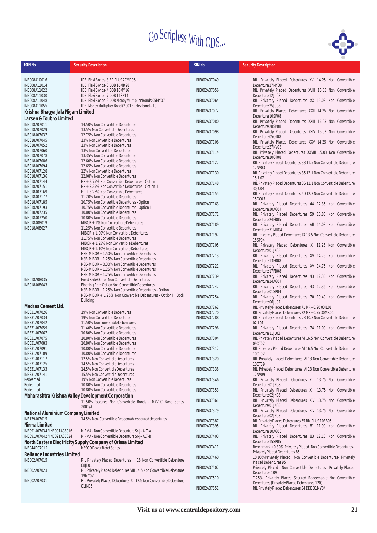

| <b>ISIN No</b>                                             | <b>Security Description</b>                                                                                    | <b>ISIN No</b>               | <b>Security Description</b>                                                                            |
|------------------------------------------------------------|----------------------------------------------------------------------------------------------------------------|------------------------------|--------------------------------------------------------------------------------------------------------|
|                                                            |                                                                                                                |                              |                                                                                                        |
| INE008A10016                                               | IDBI Flexi Bonds-8 BR PLUS 27MR05                                                                              | INE002A07049                 | RIL Privately Placed Debentures XVI 14.25 Non Convertible                                              |
| INE008A11014                                               | IDBI Flexi Bonds-3 DDB 16MR28                                                                                  |                              | Debenture 27MY08                                                                                       |
| INE008A11022<br>INE008A11030                               | IDBI Flexi Bonds-4 DDB 16MY16<br>IDBI Flexi Bonds-7 DDB 11SP14                                                 | INE002A07056                 | RIL Privately Placed Debentures XVIII 15.03 Non Convertible<br>Debenture 12JU08                        |
| INE008A11048                                               | IDBI Flexi Bonds-9 DDB Money Multiplier Bonds 05MY07                                                           | INE002A07064                 | RIL Privately Placed Debentures XX 15.03 Non Convertible                                               |
| INE008A11055                                               | IDBI Money Multiplier Bond (2001B) Flexibond - 10                                                              |                              | Debenture 25JU08                                                                                       |
| Krishna Bhagya Jala Nigam Limited                          |                                                                                                                | INE002A07072                 | RIL Privately Placed Debentures XXII 14.25 Non Convertible                                             |
| Larsen & Toubro Limited                                    |                                                                                                                | INE002A07080                 | Debenture 10SP08<br>RIL Privately Placed Debentures XXIII 15.03 Non Convertible                        |
| INE018A07011                                               | 14.50% Non Convertible Debentures                                                                              |                              | Debenture 28SP08                                                                                       |
| INE018A07029<br>INE018A07037                               | 13.5% Non Convertible Debentures<br>12.75% Non Convertible Debentures                                          | INE002A07098                 | RIL Privately Placed Debentures XXIV 15.03 Non Convertible                                             |
| INE018A07045                                               | 13% Non Convertible Debentures                                                                                 | INE002A07106                 | Debenture 050T08<br>RIL Privately Placed Debentures XXV 14.25 Non Convertible                          |
| INE018A07052                                               | 13% Non Convertible Debentures                                                                                 |                              | Debenture 27NV08                                                                                       |
| INE018A07060<br>INE018A07078                               | 13% Non Convertible Debentures<br>13.35% Non Convertible Debentures                                            | INE002A07114                 | RIL Privately Placed Debentures XXVIII 15.03 Non Convertible                                           |
| INE018A07086                                               | 12.60% Non Convertible Debentures                                                                              | INE002A07122                 | Debenture 200T08<br>RIL Privately Placed Debentures 33 11.5 Non Convertible Debenture                  |
| INE018A07094                                               | 12.65% Non Convertible Debentures                                                                              |                              | 12NV03                                                                                                 |
| INE018A07128<br>INE018A07136                               | 12% Non Convertible Debentures<br>12.08% Non Convertible Debentures                                            | INE002A07130                 | RIL Privately Placed Debentures 35 12.1 Non Convertible Debenture                                      |
| INE018A07144                                               | BR + 2.75% Non Convertible Debentures - Option I                                                               | INE002A07148                 | <b>15JU02</b><br>RIL Privately Placed Debentures 36 12.1 Non Convertible Debenture                     |
| INE018A07151                                               | BR + 3.25% Non Convertible Debentures - Option II                                                              |                              | 30JU04                                                                                                 |
| INE018A07169<br>INE018A07177                               | BR + 3.25% Non Convertible Debentures<br>11.20% Non Convertible Debentures                                     | INE002A07155                 | RIL Privately Placed Debentures 40 12.7 Non Convertible Debenture                                      |
| INE018A07185                                               | 10.75% Non Convertible Debentures - Option I                                                                   | INE002A07163                 | 15DC07<br>RIL Privately Placed Debentures 44 12.35 Non Convertible                                     |
| INE018A07193                                               | 10.75% Non Convertible Debentures - Option II                                                                  |                              | Debenture 30AG04                                                                                       |
| INE018A07235<br>INE018A07250                               | 10.80% Non Convertible Debentures<br>10.80% Non Convertible Debentures                                         | INE002A07171                 | RIL Privately Placed Debentures 59 10.85 Non Convertible                                               |
| INE018A08019                                               | MIBOR + 1% Non Convertible Debentures                                                                          |                              | Debenture 24FB05                                                                                       |
| INE018A08027                                               | 11.25% Non Convertible Debentures                                                                              | INE002A07189                 | RIL Privately Placed Debentures VII 14.08 Non Convertible<br>Debenture 31MR04                          |
|                                                            | MIBOR + 1.00% Non Convertible Debentures                                                                       | INE002A07197                 | RIL Privately Placed Debentures IX 13.5 Non Convertible Debenture                                      |
|                                                            | 11.75% Non Convertible Debentures<br>MIBOR + 1.25% Non Convertible Debentures                                  |                              | 15SP04                                                                                                 |
|                                                            | MIBOR + 1.10% Non Convertible Debentures                                                                       | INE002A07205                 | RIL Privately Placed Debentures XI 12.25 Non Convertible<br>Debenture 01JN05                           |
|                                                            | NSE-MIBOR + 1.50% Non Convertible Debentures                                                                   | INE002A07213                 | RIL Privately Placed Debentures XV 14.75 Non Convertible                                               |
|                                                            | NSE-MIBOR + 1.25% Non Convertible Debentures<br>NSE-MIBOR + 0.30% Non Convertible Debentures                   |                              | Debenture 13FB08                                                                                       |
|                                                            | NSE-MIBOR + 1.25% Non Convertible Debentures                                                                   | INE002A07221                 | RIL Privately Placed Debentures XV 14.75 Non Convertible<br>Debenture 17FB08                           |
|                                                            | NSE-MIBOR + 1.25% Non Convertible Debentures                                                                   | INE002A07239                 | RIL Privately Placed Debentures 43 12.36 Non Convertible                                               |
| INE018A08035<br>INE018A08043                               | Fixed Rate Option Non Convertible Debentures<br>Floating Rate Option Non Convertible Debentures                |                              | Debenture 24AG04                                                                                       |
|                                                            | NSE-MIBOR + 1.25% Non Convertible Debentures - Option I                                                        | INE002A07247                 | RIL Privately Placed Debentures 43 12.36 Non Convertible<br>Debenture 01SP04                           |
|                                                            | NSE-MIBOR + 1.25% Non Convertible Debentures - Option II (Book                                                 | INE002A07254                 | RIL Privately Placed Debentures 70 10.40 Non Convertible                                               |
|                                                            | Building)                                                                                                      |                              | Debenture 06JU01                                                                                       |
| Madras Cement Ltd.<br>INE331A07026                         | 19% Non Convertible Debentures                                                                                 | INE002A07262<br>INE002A07270 | RIL Privately Placed Debentures 71 MR+0.90 03JL01<br>RIL Privately Placed Debentures 72 MR+0.75 30MR01 |
| INE331A07034                                               | 19% Non Convertible Debentures                                                                                 | INE002A07288                 | RIL Privately Placed Debentures 73 10.8 Non Convertible Debenture                                      |
| INE331A07042                                               | 11.50% Non convertible Debentures                                                                              |                              | 02JL01                                                                                                 |
| INE331A07059<br>INE331A07067                               | 11.40% Non Convertible Debentures<br>10.80% Non Convertible Debentures                                         | INE002A07296                 | RIL Privately Placed Debentures 74 11.00 Non Convertible<br>Debenture 11JL03                           |
| INE331A07075                                               | 10.80% Non Convertible Debentures                                                                              | INE002A07304                 | RIL Privately Placed Debentures VI 16.5 Non Convertible Debenture                                      |
| INE331A07083                                               | 10.80% Non Convertible Debentures                                                                              |                              |                                                                                                        |
| INE331A07091<br>INE331A07109                               | 10.80% Non Convertible Debentures<br>10.80% Non Convertible Debentures                                         | INE002A07312                 | RIL Privately Placed Debentures VI 16.5 Non Convertible Debenture<br>100T02                            |
| INE331A07117                                               | 12.5% Non Convertible Debentures                                                                               | INE002A07320                 | RIL Privately Placed Debentures VI 13 Non Convertible Debenture                                        |
| INE331A07125                                               | 14.5% Non Convertible Debentures                                                                               |                              | 100T09                                                                                                 |
| INE331A07133<br>INE331A07141                               | 14.5% Non Convertible Debentures<br>15.5% Non Convertible Debentures                                           | INE002A07338                 | RIL Privately Placed Debentures VI 13 Non Convertible Debenture<br>17NV09                              |
| Redeemed                                                   | 19% Non Convertible Debentures                                                                                 | INE002A07346                 | RIL Privately Placed Debentures XIII 13.75 Non Convertible                                             |
| Redeemed                                                   | 10.80% Non Convertible Debentures                                                                              |                              | Debenture 01JN08                                                                                       |
| Redeemed                                                   | 10.80% Non Convertible Debentures                                                                              | INE002A07353                 | RIL Privately Placed Debentures XIII 13.75 Non Convertible<br>Debenture 02JN08                         |
|                                                            | Maharashtra Krishna Valley Development Corporation<br>11.50% Secured Non Convertible Bonds - MKVDC Bond Series | INE002A07361                 | RIL Privately Placed Debentures XIV 13.75 Non Convertible                                              |
|                                                            | 2001/A                                                                                                         |                              | Debenture 01JN08                                                                                       |
| National Aluminium Company Limited                         |                                                                                                                | INE002A07379                 | RIL Privately Placed Debentures XIV 13.75 Non Convertible<br>Debenture 02JN08                          |
| INE139A07015                                               | 14.5% Non-Convertible Redeemable secured debentures                                                            | INE002A07387                 | RIL Privately Placed Debentures 55 BM PLUS 10FB05                                                      |
| Nirma Limited                                              |                                                                                                                | INE002A07395                 | RIL Privately Placed Debentures 81 11.90 Non Convertible                                               |
| INE091A07034 / INE091A08016<br>INE091A07042 / INE091A08024 | NIRMA - Non Convertible Debenture Sr-J-ALT-A<br>NIRMA - Non Convertible Debenture Sr-J-ALT-B                   | INE002A07403                 | Debenture 10AG03<br>RIL Privately Placed Debentures 83 12.10 Non Convertible                           |
|                                                            | North Eastern Electricity Supply Company of Orissa Limited                                                     |                              | Debenture 15SP05                                                                                       |
| INE944D07012                                               | NESCO Power Bond Series - I                                                                                    | INE002A07411                 | Benchmark +0.80% Privately Placed Non Convertible Debentures-                                          |
| <b>Reliance Industries Limited</b>                         |                                                                                                                | INE002A07460                 | Privately Placed Debentures 85                                                                         |
| INE002A07015                                               | RIL Privately Placed Debentures III 18 Non Convertible Debenture                                               |                              | 10.90%Privately Placed Non Convertible Debentures- Privately<br>Placed Debentures 95                   |
| INE002A07023                                               | 08JL01<br>RIL Privately Placed Debentures VIII 14.5 Non Convertible Debenture                                  | INE002A07502                 | Privately Placed Non Convertible Debentures- Privately Placed                                          |
|                                                            | 19MY02                                                                                                         |                              | Debentures 109<br>7.75% Privately Placed Secured Redeemable Non-Convertible                            |
| INE002A07031                                               | RIL Privately Placed Debentures XII 12.5 Non Convertible Debenture                                             | INE002A07510                 | Debentures (Privately Placed Debentures 120)                                                           |
|                                                            | 01JN05                                                                                                         | INE002A07551                 | RIL Privately Placed Debentures 34 DDB 31MY04                                                          |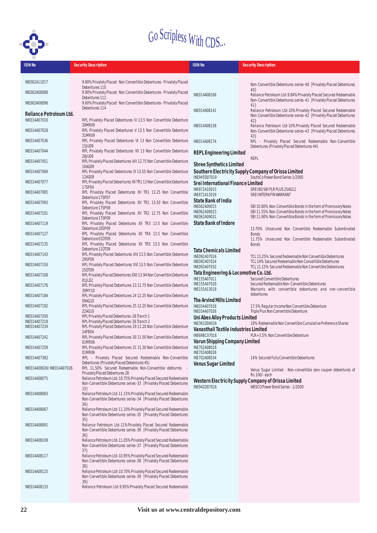

| <b>ISIN No</b>               | <b>Security Description</b>                                                                                                            | <b>ISIN No</b>                                         | <b>Security Description</b>                                                                                                          |
|------------------------------|----------------------------------------------------------------------------------------------------------------------------------------|--------------------------------------------------------|--------------------------------------------------------------------------------------------------------------------------------------|
|                              |                                                                                                                                        |                                                        |                                                                                                                                      |
| INE002A11017                 | 9.90%Privately Placed Non Convertible Debentures-Privately Placed<br>Debentures 110                                                    |                                                        | Non-Convertible Debentures series-40 [Privately Placed Debentures                                                                    |
| INE002A08088                 | 9.90%Privately Placed Non Convertible Debentures-Privately Placed                                                                      | INE014A08166                                           | 40<br>Reliance Petroleum Ltd-9.84% Privately Placed Secured Redeemable                                                               |
| INE002A08096                 | Debentures 112<br>9.60%Privately Placed Non Convertible Debentures-Privately Placed                                                    |                                                        | Non-Convertible Debentures series-41 [Privately Placed Debentures<br>41                                                              |
| Reliance Petroleum Ltd.      | Debentures 114                                                                                                                         | INE014A08141                                           | Reliance Petroleum Ltd-10%Privately Placed Secured Redeemable                                                                        |
| INE014A07010                 | RPL Privately Placed Debentures IV 13.5 Non Convertible Debenture                                                                      |                                                        | Non-Convertible Debentures series-42 [Privately Placed Debentures<br>42                                                              |
| INE014A07028                 | 30MR09<br>RPL Privately Placed Debentures V 13.5 Non Convertible Debenture                                                             | INE014A08158                                           | Reliance Petroleum Ltd-10%Privately Placed Secured Redeemable<br>Non-Convertible Debentures series-43 [Privately Placed Debentures   |
| INE014A07036                 | 31MR09<br>RPL Privately Placed Debentures VI 13 Non Convertible Debenture                                                              | INE014A08174                                           | 43<br>RPL - Privately Placed Secured Redeemable Non-Convertible                                                                      |
| INE014A07044                 | 15JU09<br>RPL Privately Placed Debentures VII 13 Non Convertible Debenture                                                             |                                                        | Debentures (Privately Placed Debentures 44)                                                                                          |
|                              | 28JU09                                                                                                                                 | <b>REPL Engineering Limited</b>                        | <b>REPL</b>                                                                                                                          |
| INE014A07051                 | RPL Privately Placed Debentures VIII 12.75 Non Convertible Debenture<br>10AG09                                                         | <b>Shree Synthetics Limited</b>                        |                                                                                                                                      |
| INE014A07069                 | RPL Privately Placed Debentures IX 13.55 Non Convertible Debenture<br>12AG09                                                           | INE945D07019                                           | Southern Electricity Supply Company of Orissa Limited<br>SouthCo Power Bond Series 1/2000                                            |
| INE014A07077                 | RPL Privately Placed Debentures XII TR1 13 Non Convertible Debenture<br>17SP04                                                         | Srei International Finance Limited                     |                                                                                                                                      |
| INE014A07085                 | RPL Privately Placed Debentures XII TR1 13.25 Non Convertible                                                                          | INE872A10015<br>INE872A13019                           | SREI BD SBI PLR PLUS 25AG12<br>SREI INTERN FIN WARRANT                                                                               |
| INE014A07093                 | Debenture 17SP07<br>RPL Privately Placed Debentures XII TR1 13.50 Non Convertible                                                      | State Bank of India                                    |                                                                                                                                      |
| INE014A07101                 | Debenture 17SP09<br>RPL Privately Placed Debentures XII TR2 12.75 Non Convertible                                                      | INE062A09015<br>INE062A09023                           | SBI 10.80% Non-Convertible Bonds in the form of Promissory Notes<br>SBI 11.55% Non-Convertible Bonds in the form of Promissory Notes |
| INE014A07119                 | Debenture 17SP09<br>RPL Privately Placed Debentures XII TR3 13.5 Non Convertible                                                       | INE062A09031<br>State Bank of Indore                   | SBI 11.90% Non-Convertible Bonds in the form of Promissory Notes                                                                     |
| INE014A07127                 | Debenture 20SP09<br>RPL Privately Placed Debentures XII TR4 13.5 Non Convertible                                                       |                                                        | 13.70% Unsecured Non Convertible Redeemable Subordinated<br><b>Bonds</b>                                                             |
|                              | Debenture 010T09                                                                                                                       |                                                        | 11.75% Unsecured Non Convertible Redeemable Subordinated                                                                             |
| INE014A07135                 | RPL Privately Placed Debentures XII TR5 13.5 Non Convertible<br>Debenture 110T09                                                       | Tata Chemicals Limited                                 | <b>Bonds</b>                                                                                                                         |
| INE014A07143                 | RPL Privately Placed Debentures XIV 13.5 Non Convertible Debenture<br>29SP09                                                           | INE092A07016<br>INE092A07024                           | TCL 13.25% Secured Redeemable Non Convertible Debentures<br>TCL 14% Secured Redeemable Non Convertible Debentures                    |
| INE014A07150                 | RPL Privately Placed Debentures XVI 13.5 Non Convertible Debenture<br>250T09                                                           | INE092A07032                                           | TCL 11.15% Secured Redeemable Non Convertible Debentures                                                                             |
| INE014A07168                 | RPL Privately Placed Debentures XXII 13.94 Non Convertible Debenture                                                                   | Tata Engineering & Locomotive Co. Ltd.<br>INE155A07011 | Secured Convertible Debentures                                                                                                       |
| INE014A07176                 | 01JL02<br>RPL Privately Placed Debentures 23 11.75 Non Convertible Debenture                                                           | INE155A07029<br>INE155A13019                           | Secured Redeemable Non-Convertible Debentures<br>Warrants with convertible debentures and non-convertible                            |
| INE014A07184                 | 30MY10<br>RPL Privately Placed Debentures 24 12.25 Non Convertible Debenture                                                           |                                                        | debentures                                                                                                                           |
| INE014A07192                 | 09AG10<br>RPL Privately Placed Debentures 25 12.25 Non Convertible Debenture                                                           | The Arvind Mills Limited<br>INE034A07018               | 17.5% Regular Income Non Convertible Debenture                                                                                       |
| INE014A07200                 | 22AG10<br>RPL Privately Placed Debentures-26 Tranch 1                                                                                  | INE034A07026<br>Uni Abex Alloy Products Limited        | Triple Plus Non Convertible Debenture                                                                                                |
| INE014A07218<br>INE014A07234 | RPL Privately Placed Debentures-26 Tranch 2                                                                                            | INE361D04016                                           | 10% Redeemable Non Convertible Cumulative Preference Shares                                                                          |
|                              | RPL Privately Placed Debentures 29 11.20 Non Convertible Debenture<br>24FB04                                                           | Vanasthali Textile Industries Limited<br>INE698C07016  | PLR+3.5% Non Convertible Debenture                                                                                                   |
| INE014A07242                 | RPL Privately Placed Debentures 30 11.50 Non Convertible Debenture<br>01MR06                                                           | Varun Shipping Company Limited                         |                                                                                                                                      |
| INE014A07259                 | RPL Privately Placed Debentures 31 11.30 Non Convertible Debenture<br>01MR06                                                           | INE702A08018<br>INE702A08026                           |                                                                                                                                      |
| INE014A07382                 | RPL - Privately Placed Secured Redeemable Non-Convertible<br>Debentures (Privately Placed Debentures 45)                               | INE702A08034                                           | 14% Secured Fully Convertible Debentures                                                                                             |
| INE014A08026/INE014A07026    | RPL 11.50% Secured Redeemable Non-Convertible debturres -                                                                              | <b>Venus Sugar Limited</b>                             | Venus Sugar Limited - Non-convertible zero coupon debentures of                                                                      |
| INE014A08075                 | Privately Placed Debentures 28<br>Reliance Petroleum Ltd-10.75% Privately Placed Secured Redeemable                                    |                                                        | Rs.100/-each<br>Western Electricity Supply Company of Orissa Limited                                                                 |
|                              | Non-Convertible Debentures series-33 [Privately Placed Debentures<br>33                                                                | INE942D07016                                           | WESCO Power Bond Series - 1/2000                                                                                                     |
| INE014A08083                 | Reliance Petroleum Ltd-11.15% Privately Placed Secured Redeemable<br>Non-Convertible Debentures series-34 [Privately Placed Debentures |                                                        |                                                                                                                                      |
| INE014A08067                 | 34<br>Reliance Petroleum Ltd-11.10% Privately Placed Secured Redeemable                                                                |                                                        |                                                                                                                                      |
|                              | Non-Convertible Debentures series-35 [Privately Placed Debentures                                                                      |                                                        |                                                                                                                                      |
| INE014A08091                 | 35<br>Reliance Petroleum Ltd-11%Privately Placed Secured Redeemable                                                                    |                                                        |                                                                                                                                      |
|                              | Non-Convertible Debentures series-36 [Privately Placed Debentures<br>36                                                                |                                                        |                                                                                                                                      |
| INE014A08109                 | Reliance Petroleum Ltd-11.05% Privately Placed Secured Redeemable<br>Non-Convertible Debentures series-37 [Privately Placed Debentures |                                                        |                                                                                                                                      |
|                              | 37                                                                                                                                     |                                                        |                                                                                                                                      |
| INE014A08117                 | Reliance Petroleum Ltd-10.95% Privately Placed Secured Redeemable<br>Non-Convertible Debentures series-38 [Privately Placed Debentures |                                                        |                                                                                                                                      |
| INE014A08125                 | 38<br>Reliance Petroleum Ltd-10.70% Privately Placed Secured Redeemable                                                                |                                                        |                                                                                                                                      |
|                              | Non-Convertible Debentures series-39 [Privately Placed Debentures<br>39                                                                |                                                        |                                                                                                                                      |
| INE014A08133                 | Reliance Petroleum Ltd-9.95% Privately Placed Secured Redeemable                                                                       |                                                        |                                                                                                                                      |
|                              |                                                                                                                                        |                                                        |                                                                                                                                      |